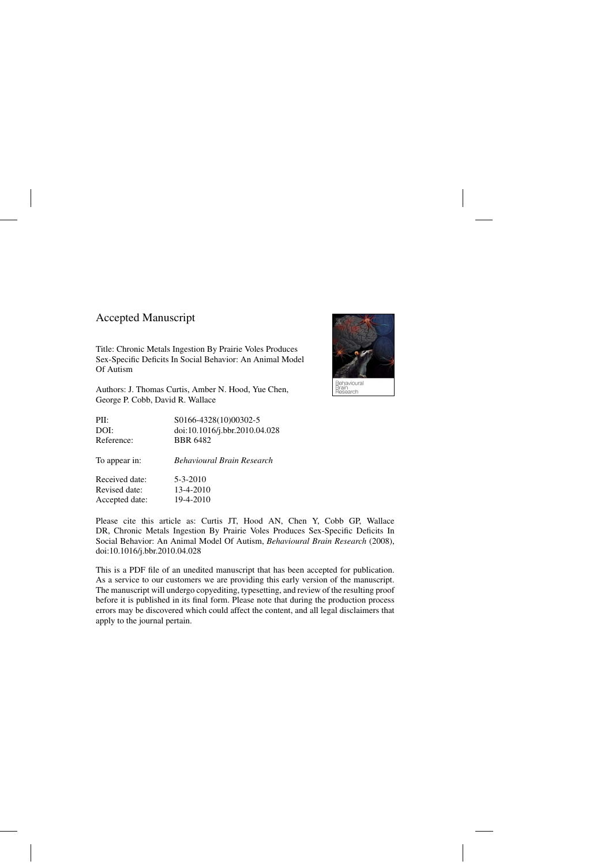## Accepted Manuscript

Title: Chronic Metals Ingestion By Prairie Voles Produces Sex-Specific Deficits In Social Behavior: An Animal Model Of Autism

Authors: J. Thomas Curtis, Amber N. Hood, Yue Chen, George P. Cobb, David R. Wallace



Behavioural }rain<br>}esearch

Please cite this article as: Curtis JT, Hood AN, Chen Y, Cobb GP, Wallace DR, Chronic Metals Ingestion By Prairie Voles Produces Sex-Specific Deficits In Social Behavior: An Animal Model Of Autism, *Behavioural Brain Research* (2008), doi:[10.1016/j.bbr.2010.04.028](dx.doi.org/10.1016/j.bbr.2010.04.028)

This is a PDF file of an unedited manuscript that has been accepted for publication. As a service to our customers we are providing this early version of the manuscript. The manuscript will undergo copyediting, typesetting, and review of the resulting proof before it is published in its final form. Please note that during the production process errors may be discovered which could affect the content, and all legal disclaimers that apply to the journal pertain.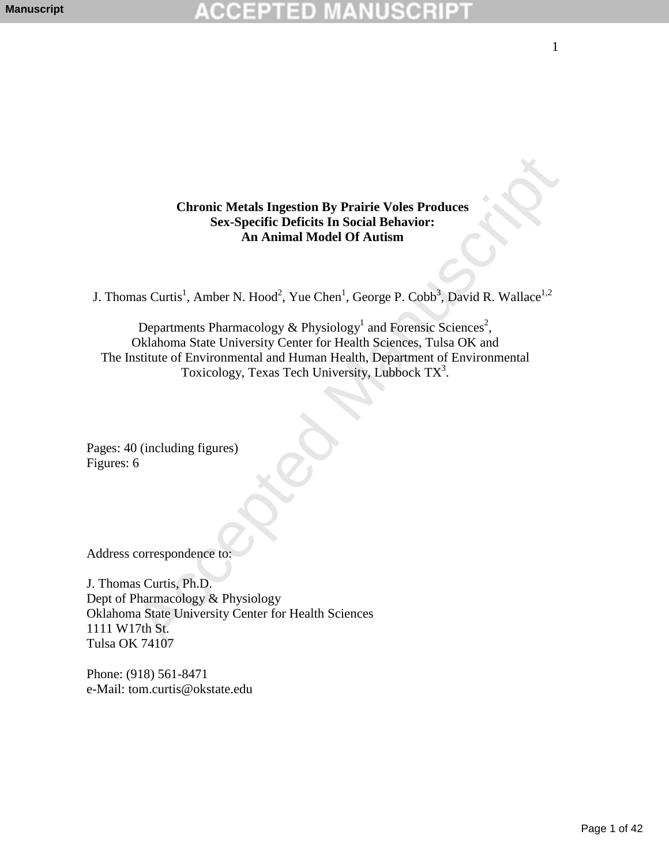**Chronic Metals Ingestion By Prairie Voles Produces Sex-Specific Deficits In Social Behavior: An Animal Model Of Autism** 

J. Thomas Curtis<sup>1</sup>, Amber N. Hood<sup>2</sup>, Yue Chen<sup>1</sup>, George P. Cobb<sup>3</sup>, David R. Wallace<sup>1,2</sup>

Chronic Metals Ingestion By Prairie Voles Produces<br>
Sex-Specific Deficits In Social Behavior:<br>
An Animal Model Of Autism<br>
ans Curtis<sup>1</sup>, Amber N. Hood<sup>2</sup>, Yue Chen<sup>1</sup>, George P. Cobb<sup>8</sup>, David R. Wallace<sup>1,2</sup><br>
Departments Departments Pharmacology & Physiology<sup>1</sup> and Forensic Sciences<sup>2</sup>, Oklahoma State University Center for Health Sciences, Tulsa OK and The Institute of Environmental and Human Health, Department of Environmental Toxicology, Texas Tech University, Lubbock  $TX^3$ .

Pages: 40 (including figures) Figures: 6

Address correspondence to:

J. Thomas Curtis, Ph.D. Dept of Pharmacology & Physiology Oklahoma State University Center for Health Sciences 1111 W17th St. Tulsa OK 74107

Phone: (918) 561-8471 e-Mail: tom.curtis@okstate.edu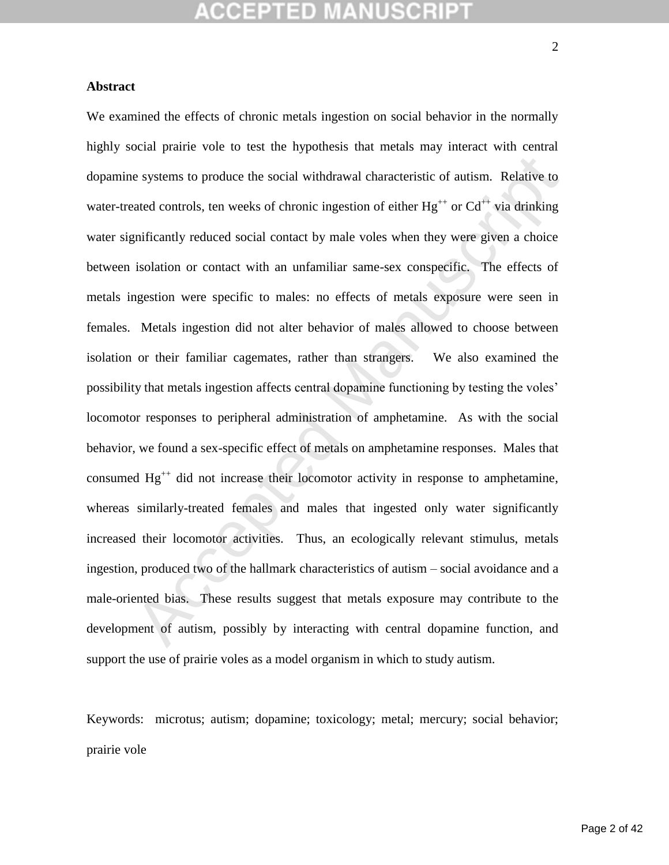## **Abstract**

e systems to produce the social withdrawal characteristic of autism. Relative to<br>ated controls, ten weeks of chronic ingestion of either  $Hg^{++}$  or  $Cd^{++}$  via drinking<br>gnificantly reduced social contact by male voles when We examined the effects of chronic metals ingestion on social behavior in the normally highly social prairie vole to test the hypothesis that metals may interact with central dopamine systems to produce the social withdrawal characteristic of autism. Relative to water-treated controls, ten weeks of chronic ingestion of either  $Hg^{++}$  or  $Cd^{++}$  via drinking water significantly reduced social contact by male voles when they were given a choice between isolation or contact with an unfamiliar same-sex conspecific. The effects of metals ingestion were specific to males: no effects of metals exposure were seen in females. Metals ingestion did not alter behavior of males allowed to choose between isolation or their familiar cagemates, rather than strangers. We also examined the possibility that metals ingestion affects central dopamine functioning by testing the voles' locomotor responses to peripheral administration of amphetamine. As with the social behavior, we found a sex-specific effect of metals on amphetamine responses. Males that consumed  $Hg^{++}$  did not increase their locomotor activity in response to amphetamine, whereas similarly-treated females and males that ingested only water significantly increased their locomotor activities. Thus, an ecologically relevant stimulus, metals ingestion, produced two of the hallmark characteristics of autism – social avoidance and a male-oriented bias. These results suggest that metals exposure may contribute to the development of autism, possibly by interacting with central dopamine function, and support the use of prairie voles as a model organism in which to study autism.

Keywords: microtus; autism; dopamine; toxicology; metal; mercury; social behavior; prairie vole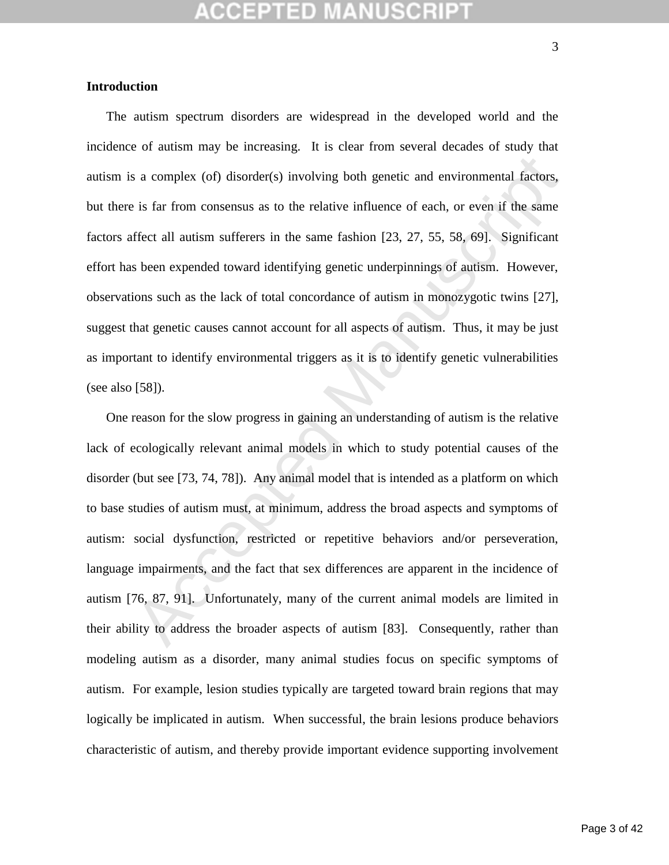## CEPTED M

### **Introduction**

s a complex (of) disorder(s) involving both genetic and environmental factors,<br>is far from consensus as to the relative influence of each, or even if the same<br>frect all autism sufferers in the same fashion [23, 27, 55, 58, The autism spectrum disorders are widespread in the developed world and the incidence of autism may be increasing. It is clear from several decades of study that autism is a complex (of) disorder(s) involving both genetic and environmental factors, but there is far from consensus as to the relative influence of each, or even if the same factors affect all autism sufferers in the same fashion [23, 27, 55, 58, 69]. Significant effort has been expended toward identifying genetic underpinnings of autism. However, observations such as the lack of total concordance of autism in monozygotic twins [27], suggest that genetic causes cannot account for all aspects of autism. Thus, it may be just as important to identify environmental triggers as it is to identify genetic vulnerabilities (see also [58]).

One reason for the slow progress in gaining an understanding of autism is the relative lack of ecologically relevant animal models in which to study potential causes of the disorder (but see [73, 74, 78]). Any animal model that is intended as a platform on which to base studies of autism must, at minimum, address the broad aspects and symptoms of autism: social dysfunction, restricted or repetitive behaviors and/or perseveration, language impairments, and the fact that sex differences are apparent in the incidence of autism [76, 87, 91]. Unfortunately, many of the current animal models are limited in their ability to address the broader aspects of autism [83]. Consequently, rather than modeling autism as a disorder, many animal studies focus on specific symptoms of autism. For example, lesion studies typically are targeted toward brain regions that may logically be implicated in autism. When successful, the brain lesions produce behaviors characteristic of autism, and thereby provide important evidence supporting involvement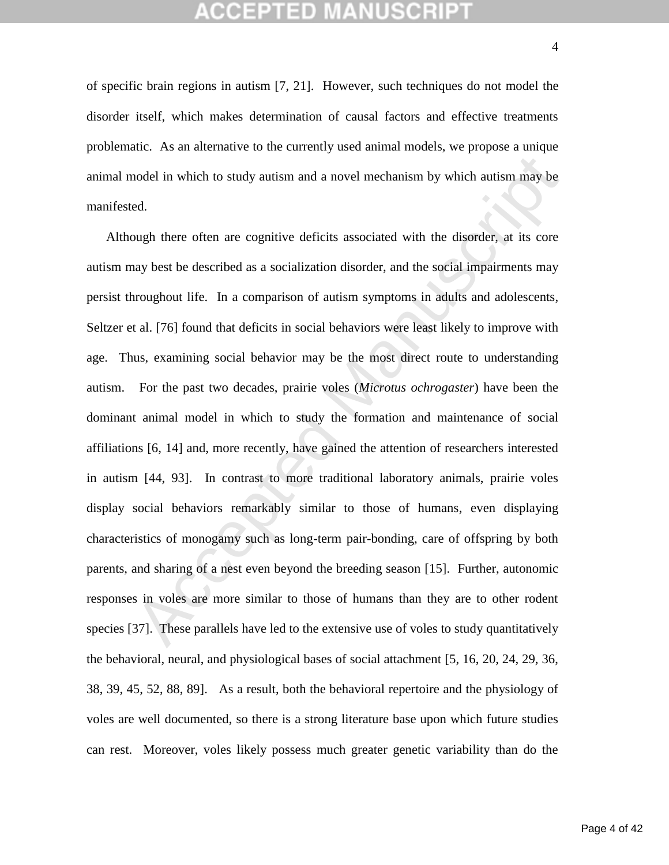of specific brain regions in autism [7, 21]. However, such techniques do not model the disorder itself, which makes determination of causal factors and effective treatments problematic. As an alternative to the currently used animal models, we propose a unique animal model in which to study autism and a novel mechanism by which autism may be manifested.

nodel in which to study autism and a novel mechanism by which autism may be<br>ed.<br>Dough there often are cognitive deficits associated with the disorder, at its core<br>ay best be described as a socialization disorder, and the s Although there often are cognitive deficits associated with the disorder, at its core autism may best be described as a socialization disorder, and the social impairments may persist throughout life. In a comparison of autism symptoms in adults and adolescents, Seltzer et al. [76] found that deficits in social behaviors were least likely to improve with age. Thus, examining social behavior may be the most direct route to understanding autism. For the past two decades, prairie voles (*Microtus ochrogaster*) have been the dominant animal model in which to study the formation and maintenance of social affiliations [6, 14] and, more recently, have gained the attention of researchers interested in autism [44, 93]. In contrast to more traditional laboratory animals, prairie voles display social behaviors remarkably similar to those of humans, even displaying characteristics of monogamy such as long-term pair-bonding, care of offspring by both parents, and sharing of a nest even beyond the breeding season [15]. Further, autonomic responses in voles are more similar to those of humans than they are to other rodent species [37]. These parallels have led to the extensive use of voles to study quantitatively the behavioral, neural, and physiological bases of social attachment [5, 16, 20, 24, 29, 36, 38, 39, 45, 52, 88, 89]. As a result, both the behavioral repertoire and the physiology of voles are well documented, so there is a strong literature base upon which future studies can rest. Moreover, voles likely possess much greater genetic variability than do the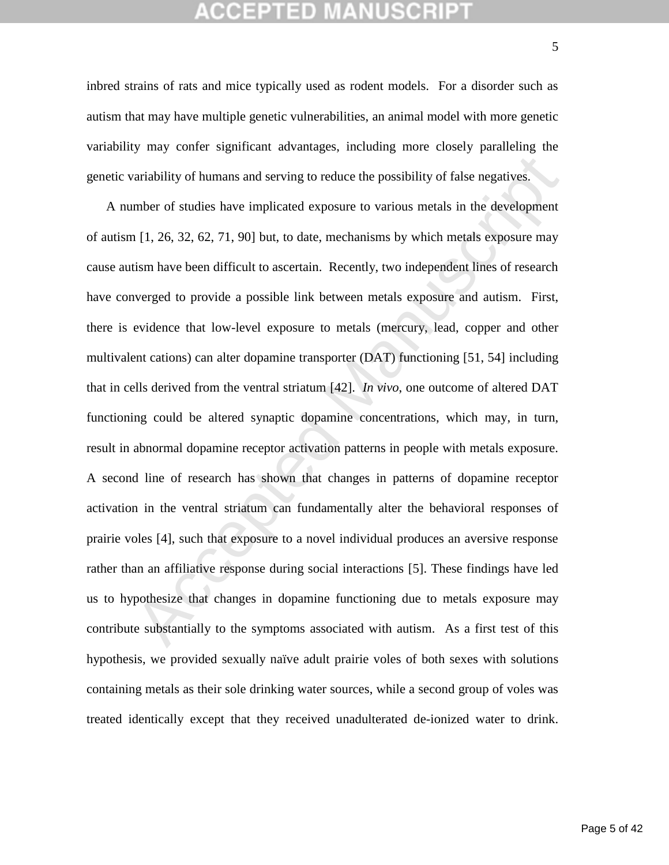## GEPTED

inbred strains of rats and mice typically used as rodent models. For a disorder such as autism that may have multiple genetic vulnerabilities, an animal model with more genetic variability may confer significant advantages, including more closely paralleling the genetic variability of humans and serving to reduce the possibility of false negatives.

ariability of humans and serving to reduce the possibility of false negatives.<br>
Example of studies have implicated exposure to various metals in the development<br>
1[1, 26, 32, 62, 71, 90] but, to date, mechanisms by which A number of studies have implicated exposure to various metals in the development of autism [1, 26, 32, 62, 71, 90] but, to date, mechanisms by which metals exposure may cause autism have been difficult to ascertain. Recently, two independent lines of research have converged to provide a possible link between metals exposure and autism. First, there is evidence that low-level exposure to metals (mercury, lead, copper and other multivalent cations) can alter dopamine transporter (DAT) functioning [51, 54] including that in cells derived from the ventral striatum [42]. *In vivo*, one outcome of altered DAT functioning could be altered synaptic dopamine concentrations, which may, in turn, result in abnormal dopamine receptor activation patterns in people with metals exposure. A second line of research has shown that changes in patterns of dopamine receptor activation in the ventral striatum can fundamentally alter the behavioral responses of prairie voles [4], such that exposure to a novel individual produces an aversive response rather than an affiliative response during social interactions [5]. These findings have led us to hypothesize that changes in dopamine functioning due to metals exposure may contribute substantially to the symptoms associated with autism. As a first test of this hypothesis, we provided sexually naïve adult prairie voles of both sexes with solutions containing metals as their sole drinking water sources, while a second group of voles was treated identically except that they received unadulterated de-ionized water to drink.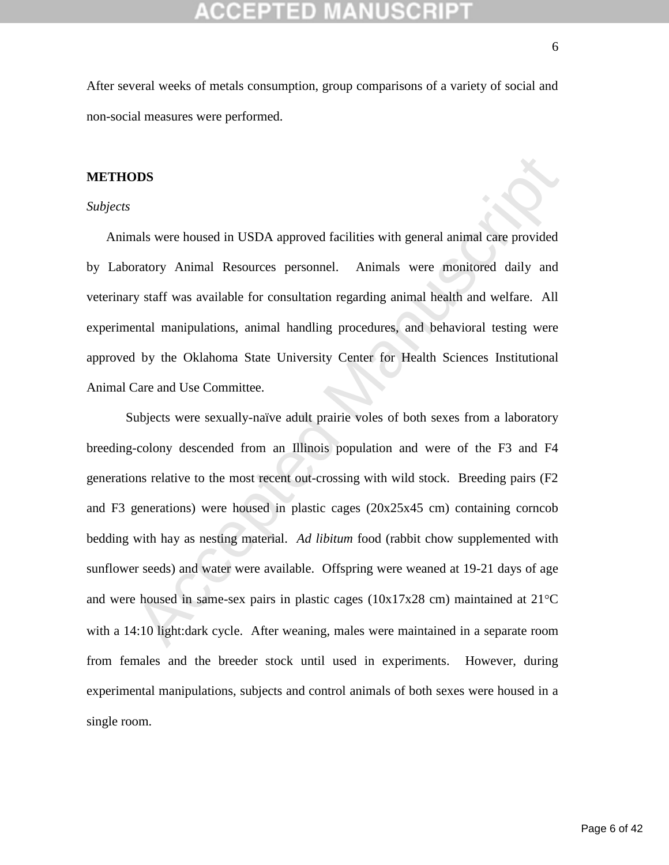After several weeks of metals consumption, group comparisons of a variety of social and non-social measures were performed.

## **METHODS**

### *Subjects*

Animals were housed in USDA approved facilities with general animal care provided by Laboratory Animal Resources personnel. Animals were monitored daily and veterinary staff was available for consultation regarding animal health and welfare. All experimental manipulations, animal handling procedures, and behavioral testing were approved by the Oklahoma State University Center for Health Sciences Institutional Animal Care and Use Committee.

**DDS**<br>
Maak were housed in USDA approved facilities with general animal care provided<br>
pratory Animal Resources personnel. Animals were monitored daily and<br>
y staff was available for consultation regarding animal health a Subjects were sexually-naïve adult prairie voles of both sexes from a laboratory breeding-colony descended from an Illinois population and were of the F3 and F4 generations relative to the most recent out-crossing with wild stock. Breeding pairs (F2 and F3 generations) were housed in plastic cages (20x25x45 cm) containing corncob bedding with hay as nesting material. *Ad libitum* food (rabbit chow supplemented with sunflower seeds) and water were available. Offspring were weaned at 19-21 days of age and were housed in same-sex pairs in plastic cages  $(10x17x28$  cm) maintained at  $21^{\circ}$ C with a 14:10 light:dark cycle. After weaning, males were maintained in a separate room from females and the breeder stock until used in experiments. However, during experimental manipulations, subjects and control animals of both sexes were housed in a single room.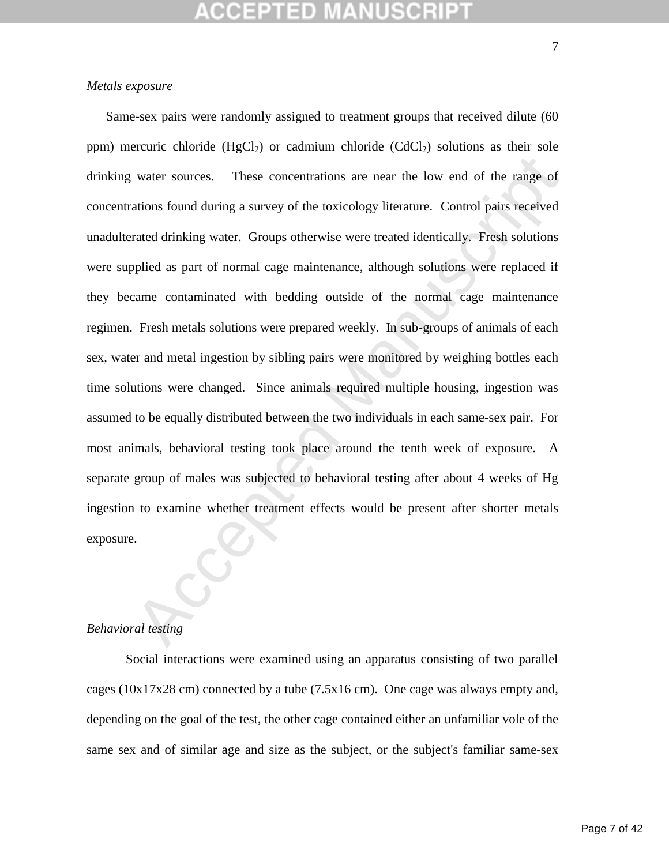## *Metals exposure*

water sources. These concentrations are near the low end of the range of<br>ations found during a survey of the toxicology literature. Control pairs received<br>rated drinking water. Groups otherwise were treated identically. Fr Same-sex pairs were randomly assigned to treatment groups that received dilute (60 ppm) mercuric chloride (HgCl<sub>2</sub>) or cadmium chloride (CdCl<sub>2</sub>) solutions as their sole drinking water sources. These concentrations are near the low end of the range of concentrations found during a survey of the toxicology literature. Control pairs received unadulterated drinking water. Groups otherwise were treated identically. Fresh solutions were supplied as part of normal cage maintenance, although solutions were replaced if they became contaminated with bedding outside of the normal cage maintenance regimen. Fresh metals solutions were prepared weekly. In sub-groups of animals of each sex, water and metal ingestion by sibling pairs were monitored by weighing bottles each time solutions were changed. Since animals required multiple housing, ingestion was assumed to be equally distributed between the two individuals in each same-sex pair. For most animals, behavioral testing took place around the tenth week of exposure. A separate group of males was subjected to behavioral testing after about 4 weeks of Hg ingestion to examine whether treatment effects would be present after shorter metals exposure.

### *Behavioral testing*

Social interactions were examined using an apparatus consisting of two parallel cages (10x17x28 cm) connected by a tube (7.5x16 cm). One cage was always empty and, depending on the goal of the test, the other cage contained either an unfamiliar vole of the same sex and of similar age and size as the subject, or the subject's familiar same-sex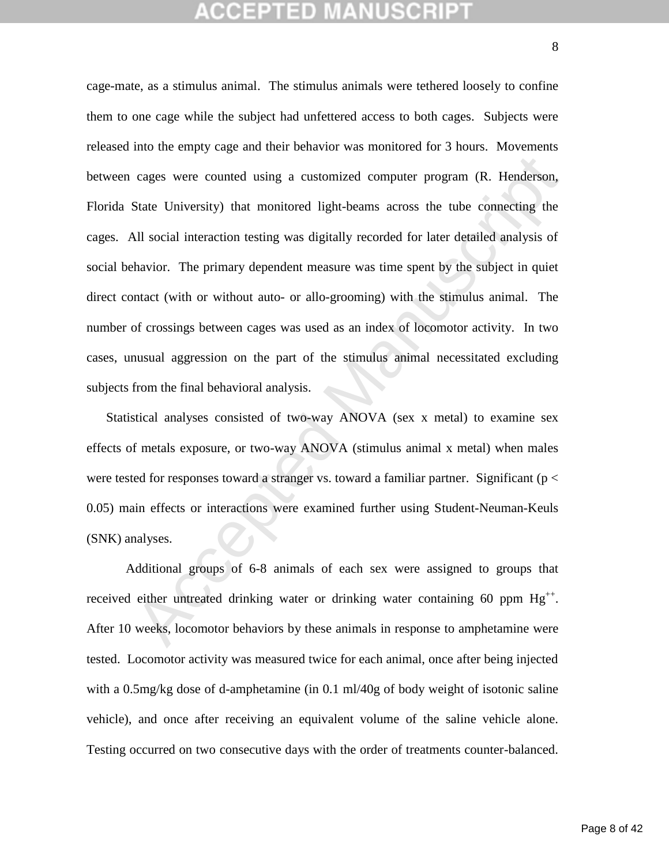## CEPTED

cages were counted using a customized computer program (R. Henderson, State University) that monitored light-beams across the tube connecting the MI social interaction testing was digitally recorded for later detailed ana cage-mate, as a stimulus animal. The stimulus animals were tethered loosely to confine them to one cage while the subject had unfettered access to both cages. Subjects were released into the empty cage and their behavior was monitored for 3 hours. Movements between cages were counted using a customized computer program (R. Henderson, Florida State University) that monitored light-beams across the tube connecting the cages. All social interaction testing was digitally recorded for later detailed analysis of social behavior. The primary dependent measure was time spent by the subject in quiet direct contact (with or without auto- or allo-grooming) with the stimulus animal. The number of crossings between cages was used as an index of locomotor activity. In two cases, unusual aggression on the part of the stimulus animal necessitated excluding subjects from the final behavioral analysis.

Statistical analyses consisted of two-way ANOVA (sex x metal) to examine sex effects of metals exposure, or two-way ANOVA (stimulus animal x metal) when males were tested for responses toward a stranger vs. toward a familiar partner. Significant ( $p <$ 0.05) main effects or interactions were examined further using Student-Neuman-Keuls (SNK) analyses.

Additional groups of 6-8 animals of each sex were assigned to groups that received either untreated drinking water or drinking water containing 60 ppm  $Hg^{++}$ . After 10 weeks, locomotor behaviors by these animals in response to amphetamine were tested. Locomotor activity was measured twice for each animal, once after being injected with a 0.5mg/kg dose of d-amphetamine (in 0.1 ml/40g of body weight of isotonic saline vehicle), and once after receiving an equivalent volume of the saline vehicle alone. Testing occurred on two consecutive days with the order of treatments counter-balanced.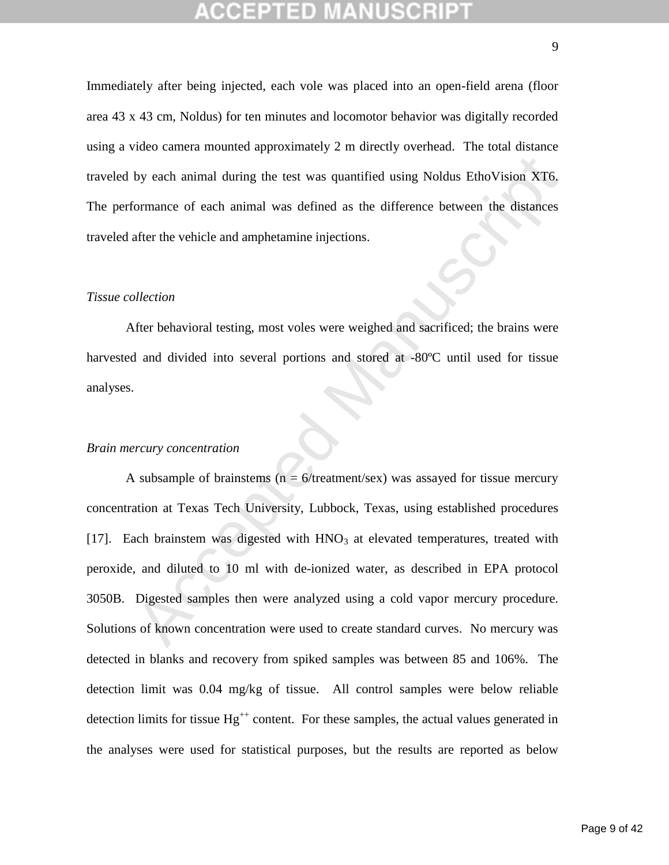Immediately after being injected, each vole was placed into an open-field arena (floor area 43 x 43 cm, Noldus) for ten minutes and locomotor behavior was digitally recorded using a video camera mounted approximately 2 m directly overhead. The total distance traveled by each animal during the test was quantified using Noldus EthoVision XT6. The performance of each animal was defined as the difference between the distances traveled after the vehicle and amphetamine injections.

## *Tissue collection*

After behavioral testing, most voles were weighed and sacrificed; the brains were harvested and divided into several portions and stored at -80ºC until used for tissue analyses.

### *Brain mercury concentration*

by each animal during the test was quantified using Noldus EthoVision XT6.<br>
formance of each animal was defined as the difference between the distances<br>
after the vehicle and amphetamine injections.<br>
Dilection<br>
ofter behav A subsample of brainstems ( $n = 6$ /treatment/sex) was assayed for tissue mercury concentration at Texas Tech University, Lubbock, Texas, using established procedures [17]. Each brainstem was digested with HNO<sub>3</sub> at elevated temperatures, treated with peroxide, and diluted to 10 ml with de-ionized water, as described in EPA protocol 3050B. Digested samples then were analyzed using a cold vapor mercury procedure. Solutions of known concentration were used to create standard curves. No mercury was detected in blanks and recovery from spiked samples was between 85 and 106%. The detection limit was 0.04 mg/kg of tissue. All control samples were below reliable detection limits for tissue  $Hg^{++}$  content. For these samples, the actual values generated in the analyses were used for statistical purposes, but the results are reported as below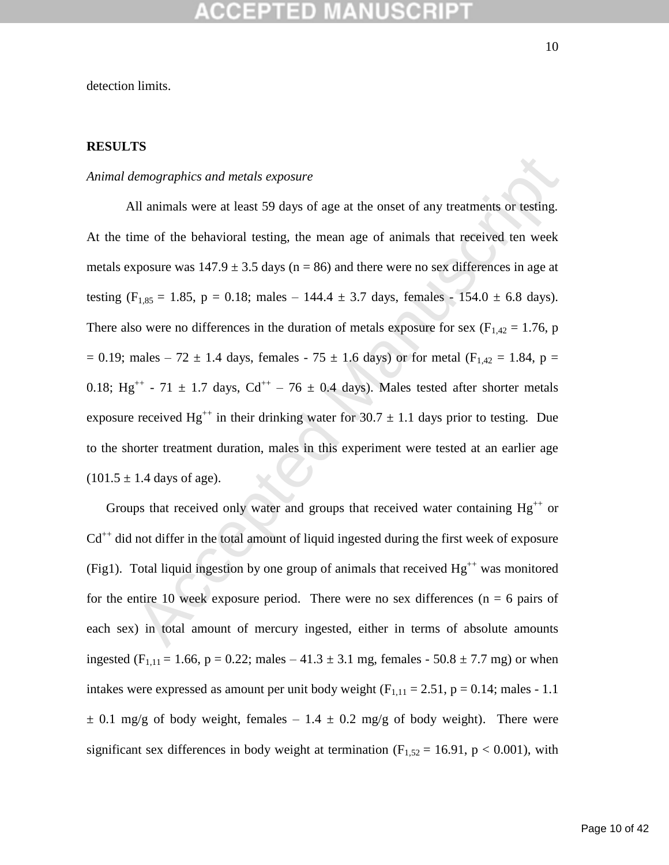detection limits.

## **RESULTS**

### *Animal demographics and metals exposure*

lemographics and metals exposure<br>
all animals were at least 59 days of age at the onset of any treatments or testing.<br>
Ime of the behavioral testing, the mean age of animals that received ten week<br>
sposure was 147.9 ± 3.5 All animals were at least 59 days of age at the onset of any treatments or testing. At the time of the behavioral testing, the mean age of animals that received ten week metals exposure was  $147.9 \pm 3.5$  days (n = 86) and there were no sex differences in age at testing (F<sub>1,85</sub> = 1.85, p = 0.18; males – 144.4  $\pm$  3.7 days, females - 154.0  $\pm$  6.8 days). There also were no differences in the duration of metals exposure for sex ( $F_{1,42} = 1.76$ , p  $= 0.19$ ; males – 72  $\pm$  1.4 days, females - 75  $\pm$  1.6 days) or for metal (F<sub>1,42</sub> = 1.84, p = 0.18; Hg<sup>++</sup> - 71  $\pm$  1.7 days, Cd<sup>++</sup> - 76  $\pm$  0.4 days). Males tested after shorter metals exposure received Hg<sup>++</sup> in their drinking water for 30.7  $\pm$  1.1 days prior to testing. Due to the shorter treatment duration, males in this experiment were tested at an earlier age  $(101.5 \pm 1.4 \text{ days of age}).$ 

Groups that received only water and groups that received water containing  $Hg^{++}$  or  $Cd^{++}$  did not differ in the total amount of liquid ingested during the first week of exposure (Fig1). Total liquid ingestion by one group of animals that received  $Hg^{++}$  was monitored for the entire 10 week exposure period. There were no sex differences ( $n = 6$  pairs of each sex) in total amount of mercury ingested, either in terms of absolute amounts ingested (F<sub>1,11</sub> = 1.66, p = 0.22; males – 41.3  $\pm$  3.1 mg, females - 50.8  $\pm$  7.7 mg) or when intakes were expressed as amount per unit body weight  $(F_{1,11} = 2.51, p = 0.14;$  males - 1.1  $\pm$  0.1 mg/g of body weight, females – 1.4  $\pm$  0.2 mg/g of body weight). There were significant sex differences in body weight at termination ( $F_{1,52} = 16.91$ ,  $p < 0.001$ ), with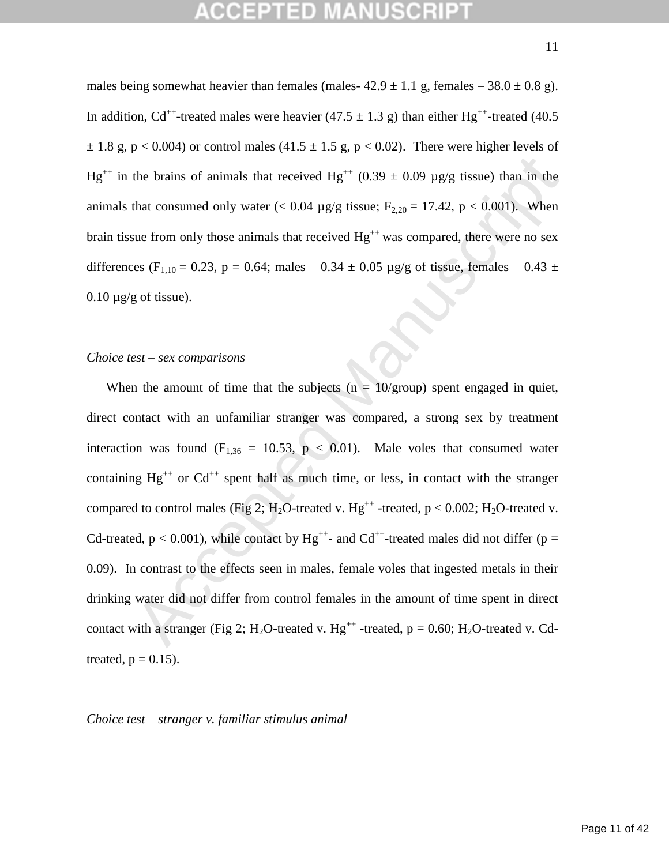males being somewhat heavier than females (males- $42.9 \pm 1.1$  g, females –  $38.0 \pm 0.8$  g). In addition, Cd<sup>++</sup>-treated males were heavier (47.5  $\pm$  1.3 g) than either Hg<sup>++</sup>-treated (40.5  $\pm$  1.8 g, p < 0.004) or control males (41.5  $\pm$  1.5 g, p < 0.02). There were higher levels of Hg<sup>++</sup> in the brains of animals that received Hg<sup>++</sup> (0.39  $\pm$  0.09 µg/g tissue) than in the animals that consumed only water  $(< 0.04 \text{ µg/g tissue}; F_{2,20} = 17.42, p < 0.001$ ). When brain tissue from only those animals that received  $Hg^{++}$  was compared, there were no sex differences (F<sub>1,10</sub> = 0.23, p = 0.64; males – 0.34  $\pm$  0.05 µg/g of tissue, females – 0.43  $\pm$  $0.10 \mu g/g$  of tissue).

## *Choice test – sex comparisons*

the brains of animals that received Hg<sup>++</sup> (0.39 ± 0.09 µg/g tissue) than in the<br>that consumed only water (< 0.04 µg/g tissue; F<sub>2.20</sub> = 17.42, p < 0.001). When<br>sue from only those animals that received Hg<sup>++</sup> was compare When the amount of time that the subjects ( $n = 10$ /group) spent engaged in quiet, direct contact with an unfamiliar stranger was compared, a strong sex by treatment interaction was found  $(F_{1,36} = 10.53, p < 0.01)$ . Male voles that consumed water containing  $Hg^{++}$  or  $Cd^{++}$  spent half as much time, or less, in contact with the stranger compared to control males (Fig 2;  $H_2O$ -treated v.  $Hg^{++}$ -treated,  $p < 0.002$ ;  $H_2O$ -treated v. Cd-treated,  $p < 0.001$ ), while contact by  $Hg^{++}$ - and Cd<sup>++</sup>-treated males did not differ ( $p =$ 0.09). In contrast to the effects seen in males, female voles that ingested metals in their drinking water did not differ from control females in the amount of time spent in direct contact with a stranger (Fig 2; H<sub>2</sub>O-treated v. Hg<sup>++</sup> -treated,  $p = 0.60$ ; H<sub>2</sub>O-treated v. Cdtreated,  $p = 0.15$ ).

*Choice test – stranger v. familiar stimulus animal*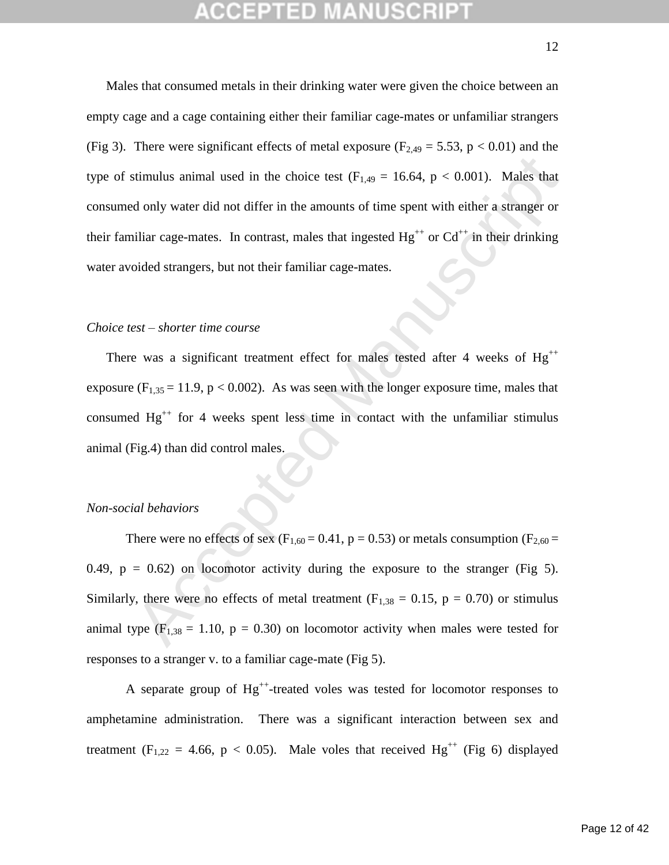stimulus animal used in the choice test ( $F_{1,49} = 16.64$ ,  $p < 0.001$ ). Males that<br>
donly water did not differ in the amounts of time spent with either a stranger or<br>
uiliar cage-mates. In contrast, males that ingested  $H$ Males that consumed metals in their drinking water were given the choice between an empty cage and a cage containing either their familiar cage-mates or unfamiliar strangers (Fig 3). There were significant effects of metal exposure ( $F_{2,49} = 5.53$ ,  $p < 0.01$ ) and the type of stimulus animal used in the choice test  $(F<sub>1,49</sub> = 16.64, p < 0.001)$ . Males that consumed only water did not differ in the amounts of time spent with either a stranger or their familiar cage-mates. In contrast, males that ingested  $Hg^{++}$  or  $Cd^{++}$  in their drinking water avoided strangers, but not their familiar cage-mates.

## *Choice test – shorter time course*

There was a significant treatment effect for males tested after 4 weeks of  $Hg^{++}$ exposure  $(F_{1,35} = 11.9, p < 0.002)$ . As was seen with the longer exposure time, males that consumed  $Hg^{++}$  for 4 weeks spent less time in contact with the unfamiliar stimulus animal (Fig.4) than did control males.

### *Non-social behaviors*

There were no effects of sex ( $F_{1,60} = 0.41$ ,  $p = 0.53$ ) or metals consumption ( $F_{2,60} =$ 0.49,  $p = 0.62$ ) on locomotor activity during the exposure to the stranger (Fig 5). Similarly, there were no effects of metal treatment ( $F_{1,38} = 0.15$ ,  $p = 0.70$ ) or stimulus animal type ( $F_{1,38} = 1.10$ ,  $p = 0.30$ ) on locomotor activity when males were tested for responses to a stranger v. to a familiar cage-mate (Fig 5).

A separate group of  $Hg^{++}$ -treated voles was tested for locomotor responses to amphetamine administration. There was a significant interaction between sex and treatment (F<sub>1,22</sub> = 4.66, p < 0.05). Male voles that received Hg<sup>++</sup> (Fig 6) displayed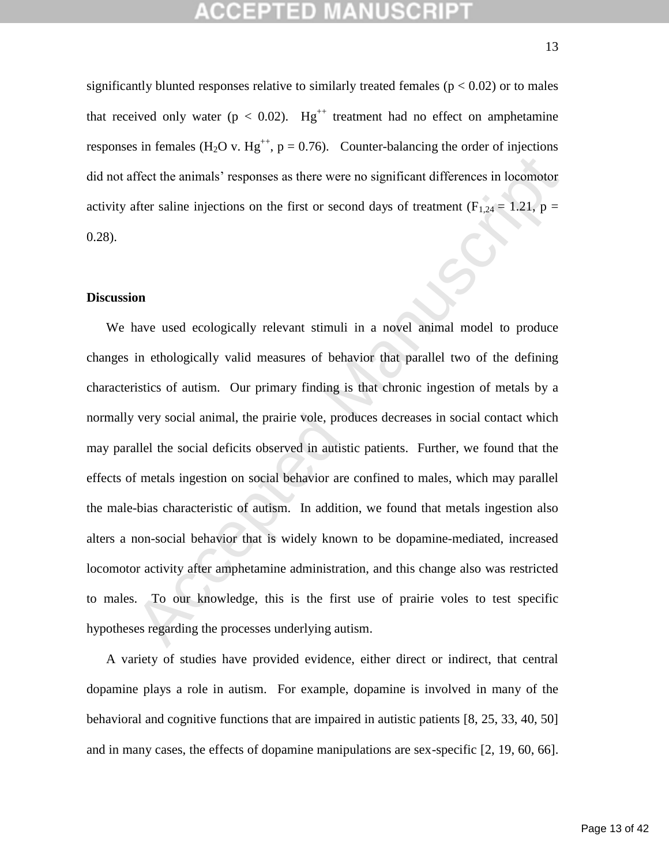## GEPTED

significantly blunted responses relative to similarly treated females ( $p < 0.02$ ) or to males that received only water ( $p < 0.02$ ). Hg<sup>++</sup> treatment had no effect on amphetamine responses in females (H<sub>2</sub>O v. Hg<sup>++</sup>, p = 0.76). Counter-balancing the order of injections did not affect the animals' responses as there were no significant differences in locomotor activity after saline injections on the first or second days of treatment ( $F_{1,24} = 1.21$ ,  $p =$ 0.28).

## **Discussion**

ffect the animals' responses as there were no significant differences in locomotor<br>after saline injections on the first or second days of treatment  $(F_{1,24} = 1.21, p =$ <br>on<br>on<br>thave used ecologically relevant stimuli in a no We have used ecologically relevant stimuli in a novel animal model to produce changes in ethologically valid measures of behavior that parallel two of the defining characteristics of autism. Our primary finding is that chronic ingestion of metals by a normally very social animal, the prairie vole, produces decreases in social contact which may parallel the social deficits observed in autistic patients. Further, we found that the effects of metals ingestion on social behavior are confined to males, which may parallel the male-bias characteristic of autism. In addition, we found that metals ingestion also alters a non-social behavior that is widely known to be dopamine-mediated, increased locomotor activity after amphetamine administration, and this change also was restricted to males. To our knowledge, this is the first use of prairie voles to test specific hypotheses regarding the processes underlying autism.

A variety of studies have provided evidence, either direct or indirect, that central dopamine plays a role in autism. For example, dopamine is involved in many of the behavioral and cognitive functions that are impaired in autistic patients [8, 25, 33, 40, 50] and in many cases, the effects of dopamine manipulations are sex-specific [2, 19, 60, 66].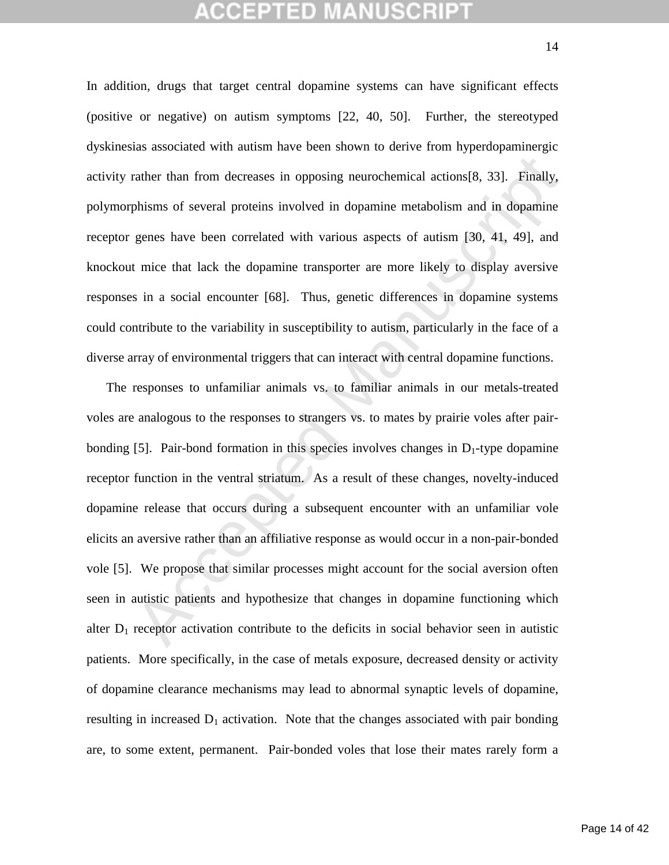## CEPTED

In addition, drugs that target central dopamine systems can have significant effects (positive or negative) on autism symptoms [22, 40, 50]. Further, the stereotyped dyskinesias associated with autism have been shown to derive from hyperdopaminergic activity rather than from decreases in opposing neurochemical actions[8, 33]. Finally, polymorphisms of several proteins involved in dopamine metabolism and in dopamine receptor genes have been correlated with various aspects of autism [30, 41, 49], and knockout mice that lack the dopamine transporter are more likely to display aversive responses in a social encounter [68]. Thus, genetic differences in dopamine systems could contribute to the variability in susceptibility to autism, particularly in the face of a diverse array of environmental triggers that can interact with central dopamine functions.

rather than from decreases in opposing neurochemical actions [8, 33]. Finally, phisms of several proteins involved in dopamine metabolism and in dopamine genes have been correlated with various aspects of autism [30, 41, The responses to unfamiliar animals vs. to familiar animals in our metals-treated voles are analogous to the responses to strangers vs. to mates by prairie voles after pairbonding [5]. Pair-bond formation in this species involves changes in  $D_1$ -type dopamine receptor function in the ventral striatum. As a result of these changes, novelty-induced dopamine release that occurs during a subsequent encounter with an unfamiliar vole elicits an aversive rather than an affiliative response as would occur in a non-pair-bonded vole [5]. We propose that similar processes might account for the social aversion often seen in autistic patients and hypothesize that changes in dopamine functioning which alter  $D_1$  receptor activation contribute to the deficits in social behavior seen in autistic patients. More specifically, in the case of metals exposure, decreased density or activity of dopamine clearance mechanisms may lead to abnormal synaptic levels of dopamine, resulting in increased  $D_1$  activation. Note that the changes associated with pair bonding are, to some extent, permanent. Pair-bonded voles that lose their mates rarely form a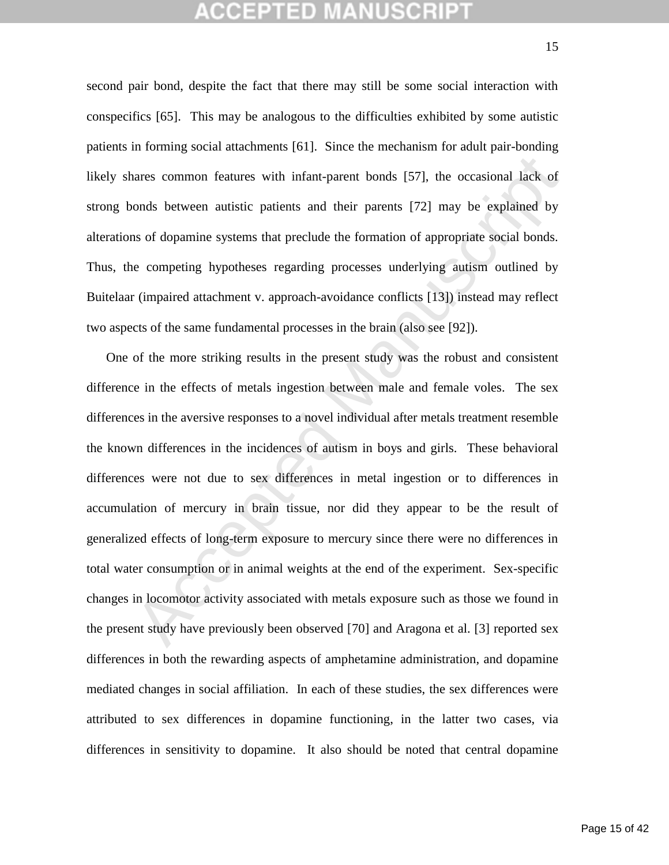## **CEPTED MANUSCR**

second pair bond, despite the fact that there may still be some social interaction with conspecifics [65]. This may be analogous to the difficulties exhibited by some autistic patients in forming social attachments [61]. Since the mechanism for adult pair-bonding likely shares common features with infant-parent bonds [57], the occasional lack of strong bonds between autistic patients and their parents [72] may be explained by alterations of dopamine systems that preclude the formation of appropriate social bonds. Thus, the competing hypotheses regarding processes underlying autism outlined by Buitelaar (impaired attachment v. approach-avoidance conflicts [13]) instead may reflect two aspects of the same fundamental processes in the brain (also see [92]).

ares common features with infant-parent bonds [57], the occasional lack of<br>onds between autistic patients and their parents [72] may be explained by<br>as of dopamine systems that preclude the formation of appropriate social One of the more striking results in the present study was the robust and consistent difference in the effects of metals ingestion between male and female voles. The sex differences in the aversive responses to a novel individual after metals treatment resemble the known differences in the incidences of autism in boys and girls. These behavioral differences were not due to sex differences in metal ingestion or to differences in accumulation of mercury in brain tissue, nor did they appear to be the result of generalized effects of long-term exposure to mercury since there were no differences in total water consumption or in animal weights at the end of the experiment. Sex-specific changes in locomotor activity associated with metals exposure such as those we found in the present study have previously been observed [70] and Aragona et al. [3] reported sex differences in both the rewarding aspects of amphetamine administration, and dopamine mediated changes in social affiliation. In each of these studies, the sex differences were attributed to sex differences in dopamine functioning, in the latter two cases, via differences in sensitivity to dopamine. It also should be noted that central dopamine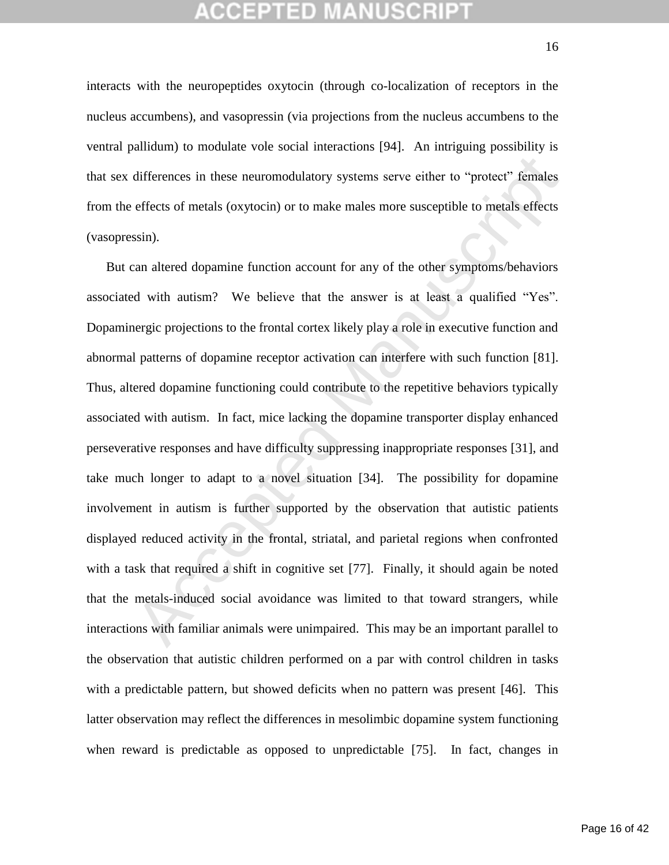## CEPTED

interacts with the neuropeptides oxytocin (through co-localization of receptors in the nucleus accumbens), and vasopressin (via projections from the nucleus accumbens to the ventral pallidum) to modulate vole social interactions [94]. An intriguing possibility is that sex differences in these neuromodulatory systems serve either to "protect" females from the effects of metals (oxytocin) or to make males more susceptible to metals effects (vasopressin).

differences in these neuromodulatory systems serve either to "protect" females<br>effects of metals (oxytoein) or to make males more susceptible to metals effects<br>ssin).<br>can altered dopamine function account for any of the ot But can altered dopamine function account for any of the other symptoms/behaviors associated with autism? We believe that the answer is at least a qualified "Yes". Dopaminergic projections to the frontal cortex likely play a role in executive function and abnormal patterns of dopamine receptor activation can interfere with such function [81]. Thus, altered dopamine functioning could contribute to the repetitive behaviors typically associated with autism. In fact, mice lacking the dopamine transporter display enhanced perseverative responses and have difficulty suppressing inappropriate responses [31], and take much longer to adapt to a novel situation [34]. The possibility for dopamine involvement in autism is further supported by the observation that autistic patients displayed reduced activity in the frontal, striatal, and parietal regions when confronted with a task that required a shift in cognitive set [77]. Finally, it should again be noted that the metals-induced social avoidance was limited to that toward strangers, while interactions with familiar animals were unimpaired. This may be an important parallel to the observation that autistic children performed on a par with control children in tasks with a predictable pattern, but showed deficits when no pattern was present [46]. This latter observation may reflect the differences in mesolimbic dopamine system functioning when reward is predictable as opposed to unpredictable [75]. In fact, changes in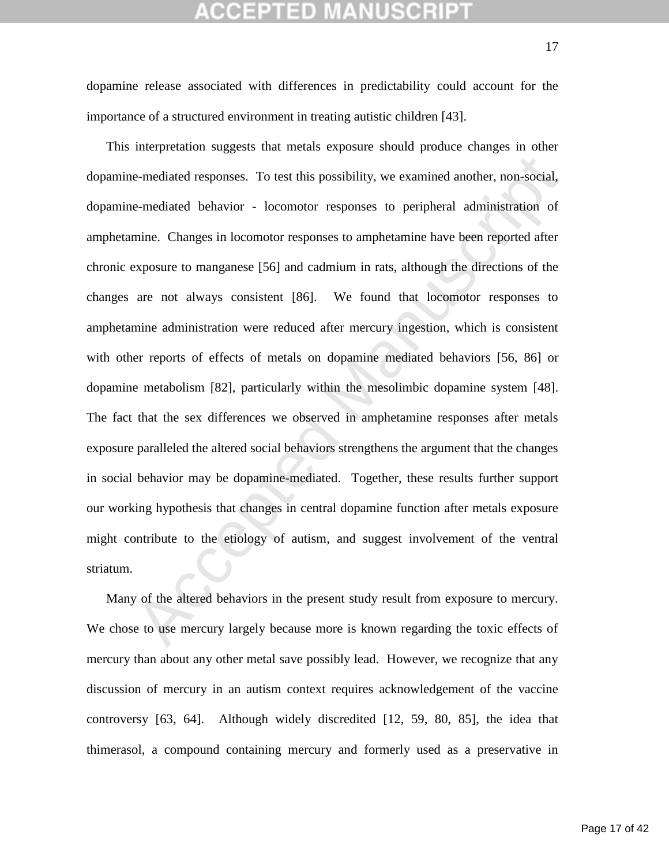## **CEPTED MANUSCR**

importance of a structured environment in treating autistic children [43].

e-mediated responses. To test this possibility, we examined another, non-social, e-mediated behavior - locomotor responses to peripheral administration of mine. Changes in locomotor responses to amphetamine have been repor This interpretation suggests that metals exposure should produce changes in other dopamine-mediated responses. To test this possibility, we examined another, non-social, dopamine-mediated behavior - locomotor responses to peripheral administration of amphetamine. Changes in locomotor responses to amphetamine have been reported after chronic exposure to manganese [56] and cadmium in rats, although the directions of the changes are not always consistent [86]. We found that locomotor responses to amphetamine administration were reduced after mercury ingestion, which is consistent with other reports of effects of metals on dopamine mediated behaviors [56, 86] or dopamine metabolism [82], particularly within the mesolimbic dopamine system [48]. The fact that the sex differences we observed in amphetamine responses after metals exposure paralleled the altered social behaviors strengthens the argument that the changes in social behavior may be dopamine-mediated. Together, these results further support our working hypothesis that changes in central dopamine function after metals exposure might contribute to the etiology of autism, and suggest involvement of the ventral striatum.

Many of the altered behaviors in the present study result from exposure to mercury. We chose to use mercury largely because more is known regarding the toxic effects of mercury than about any other metal save possibly lead. However, we recognize that any discussion of mercury in an autism context requires acknowledgement of the vaccine controversy [63, 64]. Although widely discredited [12, 59, 80, 85], the idea that thimerasol, a compound containing mercury and formerly used as a preservative in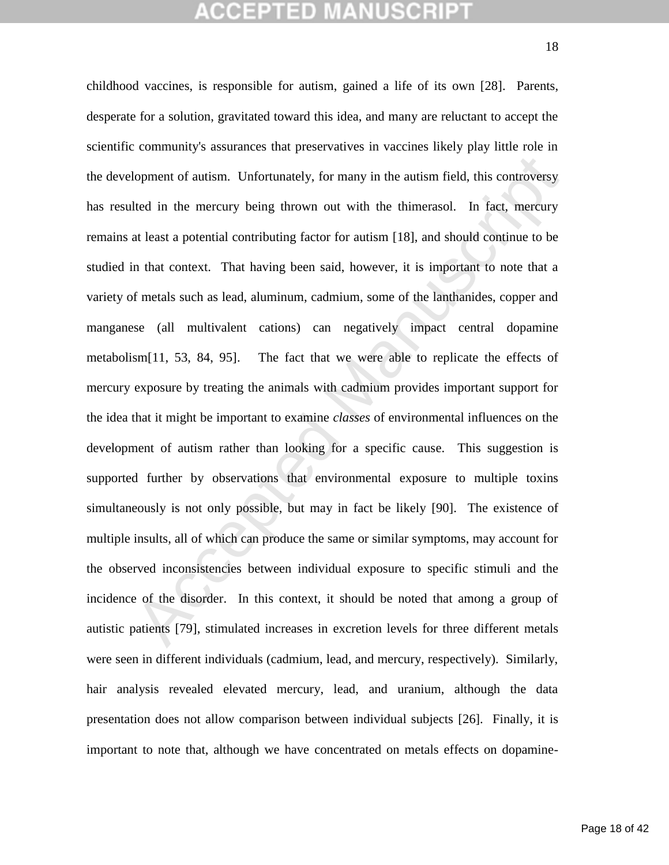# **CEPTED MANUSCR**

dopment of autism. Unfortunately, for many in the autism field, this controversy<br>the in the mercury being thrown out with the thimerasol. In fact, mercury<br>at least a potential contributing factor for autism [18], and shoul childhood vaccines, is responsible for autism, gained a life of its own [28]. Parents, desperate for a solution, gravitated toward this idea, and many are reluctant to accept the scientific community's assurances that preservatives in vaccines likely play little role in the development of autism. Unfortunately, for many in the autism field, this controversy has resulted in the mercury being thrown out with the thimerasol. In fact, mercury remains at least a potential contributing factor for autism [18], and should continue to be studied in that context. That having been said, however, it is important to note that a variety of metals such as lead, aluminum, cadmium, some of the lanthanides, copper and manganese (all multivalent cations) can negatively impact central dopamine metabolism[11, 53, 84, 95]. The fact that we were able to replicate the effects of mercury exposure by treating the animals with cadmium provides important support for the idea that it might be important to examine *classes* of environmental influences on the development of autism rather than looking for a specific cause. This suggestion is supported further by observations that environmental exposure to multiple toxins simultaneously is not only possible, but may in fact be likely [90]. The existence of multiple insults, all of which can produce the same or similar symptoms, may account for the observed inconsistencies between individual exposure to specific stimuli and the incidence of the disorder. In this context, it should be noted that among a group of autistic patients [79], stimulated increases in excretion levels for three different metals were seen in different individuals (cadmium, lead, and mercury, respectively). Similarly, hair analysis revealed elevated mercury, lead, and uranium, although the data presentation does not allow comparison between individual subjects [26]. Finally, it is important to note that, although we have concentrated on metals effects on dopamine-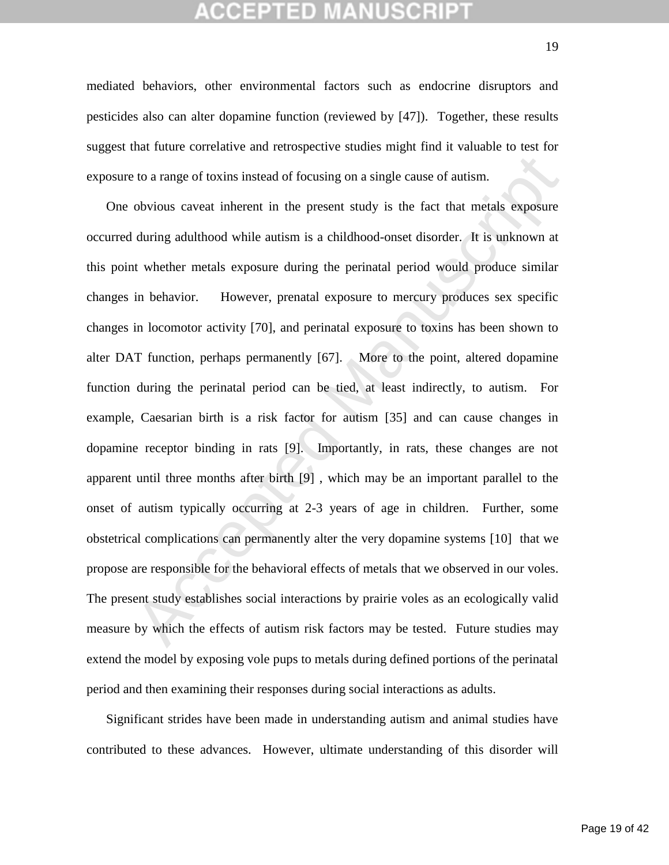## CEPTED

mediated behaviors, other environmental factors such as endocrine disruptors and pesticides also can alter dopamine function (reviewed by [47]). Together, these results suggest that future correlative and retrospective studies might find it valuable to test for exposure to a range of toxins instead of focusing on a single cause of autism.

to a range of toxins instead of focusing on a single cause of autism.<br>
Solutions caveat inherent in the present study is the fact that metals exposure<br>
during adulthood while autism is a childhood-onset disorder. It is unk One obvious caveat inherent in the present study is the fact that metals exposure occurred during adulthood while autism is a childhood-onset disorder. It is unknown at this point whether metals exposure during the perinatal period would produce similar changes in behavior. However, prenatal exposure to mercury produces sex specific changes in locomotor activity [70], and perinatal exposure to toxins has been shown to alter DAT function, perhaps permanently [67]. More to the point, altered dopamine function during the perinatal period can be tied, at least indirectly, to autism. For example, Caesarian birth is a risk factor for autism [35] and can cause changes in dopamine receptor binding in rats [9]. Importantly, in rats, these changes are not apparent until three months after birth [9] , which may be an important parallel to the onset of autism typically occurring at 2-3 years of age in children. Further, some obstetrical complications can permanently alter the very dopamine systems [10] that we propose are responsible for the behavioral effects of metals that we observed in our voles. The present study establishes social interactions by prairie voles as an ecologically valid measure by which the effects of autism risk factors may be tested. Future studies may extend the model by exposing vole pups to metals during defined portions of the perinatal period and then examining their responses during social interactions as adults.

Significant strides have been made in understanding autism and animal studies have contributed to these advances. However, ultimate understanding of this disorder will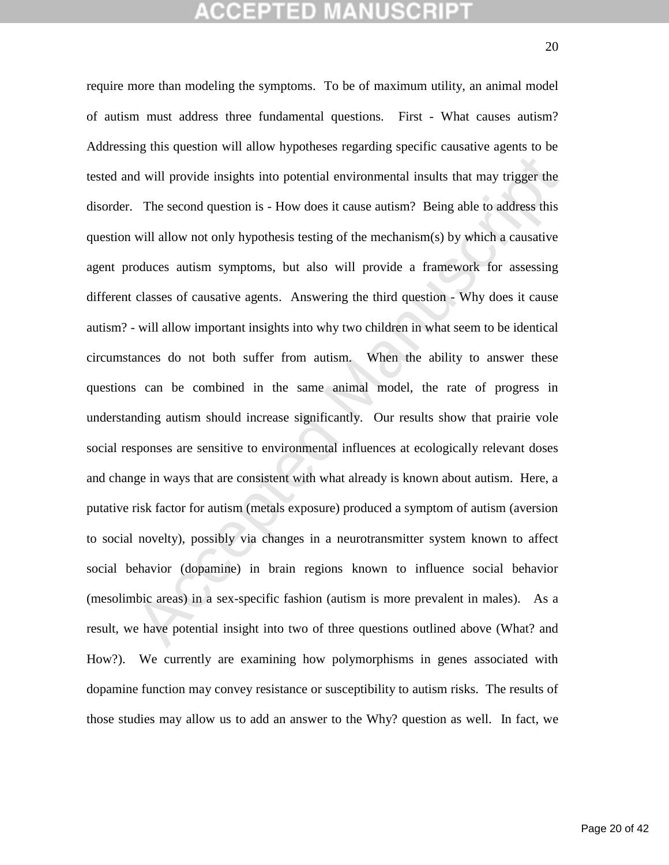# **CEPTED MANUSCR**

d will provide insights into potential environmental insults that may trigger the<br>The second question is - How does it cause autism? Being able to address this<br>will allow not only hypothesis testing of the mechanism(s) by require more than modeling the symptoms. To be of maximum utility, an animal model of autism must address three fundamental questions. First - What causes autism? Addressing this question will allow hypotheses regarding specific causative agents to be tested and will provide insights into potential environmental insults that may trigger the disorder. The second question is - How does it cause autism? Being able to address this question will allow not only hypothesis testing of the mechanism(s) by which a causative agent produces autism symptoms, but also will provide a framework for assessing different classes of causative agents. Answering the third question - Why does it cause autism? - will allow important insights into why two children in what seem to be identical circumstances do not both suffer from autism. When the ability to answer these questions can be combined in the same animal model, the rate of progress in understanding autism should increase significantly. Our results show that prairie vole social responses are sensitive to environmental influences at ecologically relevant doses and change in ways that are consistent with what already is known about autism. Here, a putative risk factor for autism (metals exposure) produced a symptom of autism (aversion to social novelty), possibly via changes in a neurotransmitter system known to affect social behavior (dopamine) in brain regions known to influence social behavior (mesolimbic areas) in a sex-specific fashion (autism is more prevalent in males). As a result, we have potential insight into two of three questions outlined above (What? and How?). We currently are examining how polymorphisms in genes associated with dopamine function may convey resistance or susceptibility to autism risks. The results of those studies may allow us to add an answer to the Why? question as well. In fact, we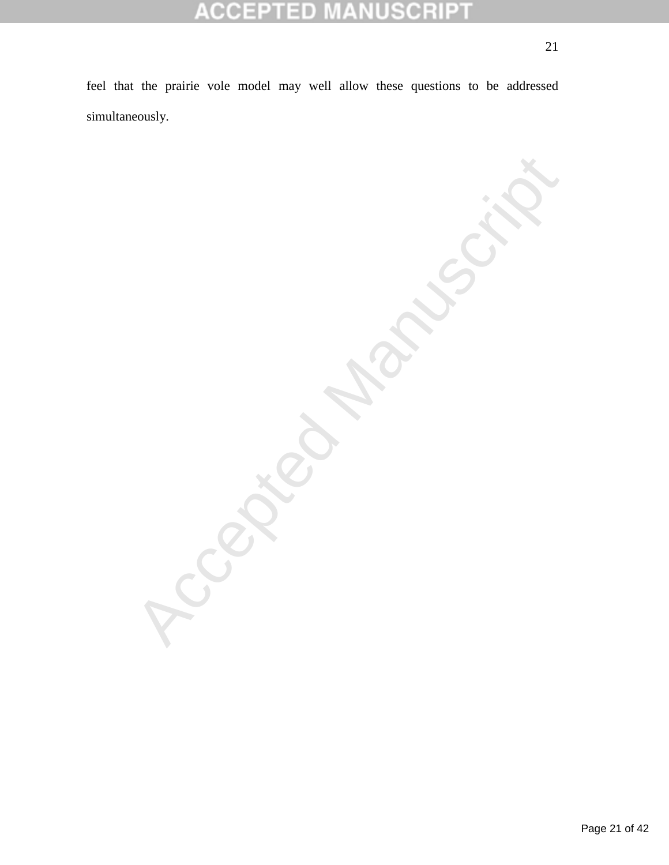### CRIPT 10 CIC E  $\overline{\mathbb{F}}$

feel that the prairie vole model may well allow these questions to be addressed simultaneously.

Accepted Manuscript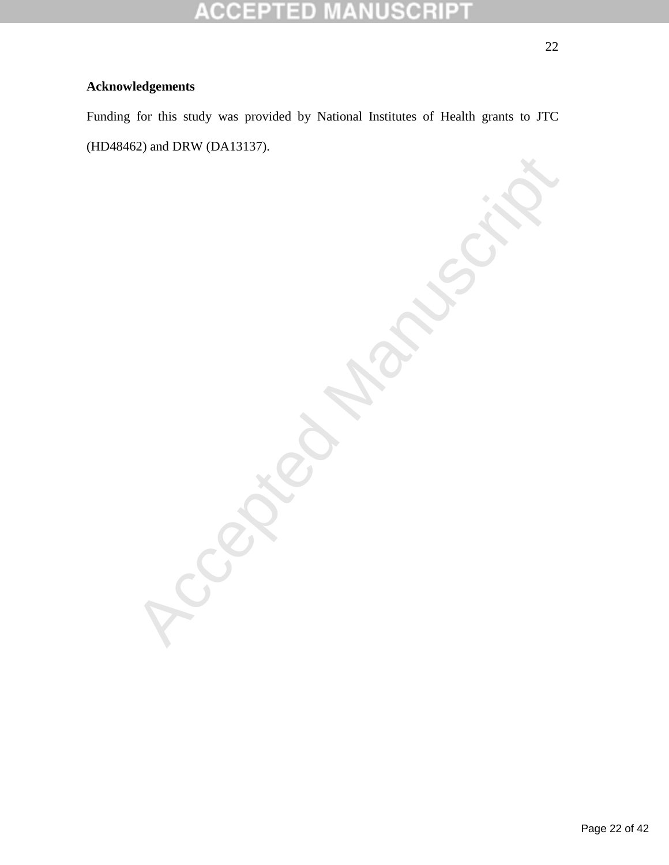### P SCRII P CC ΞD  $\overline{\tau}$

## **Acknowledgements**

Funding for this study was provided by National Institutes of Health grants to JTC (HD48462) and DRW (DA13137).

Accepted Manuscript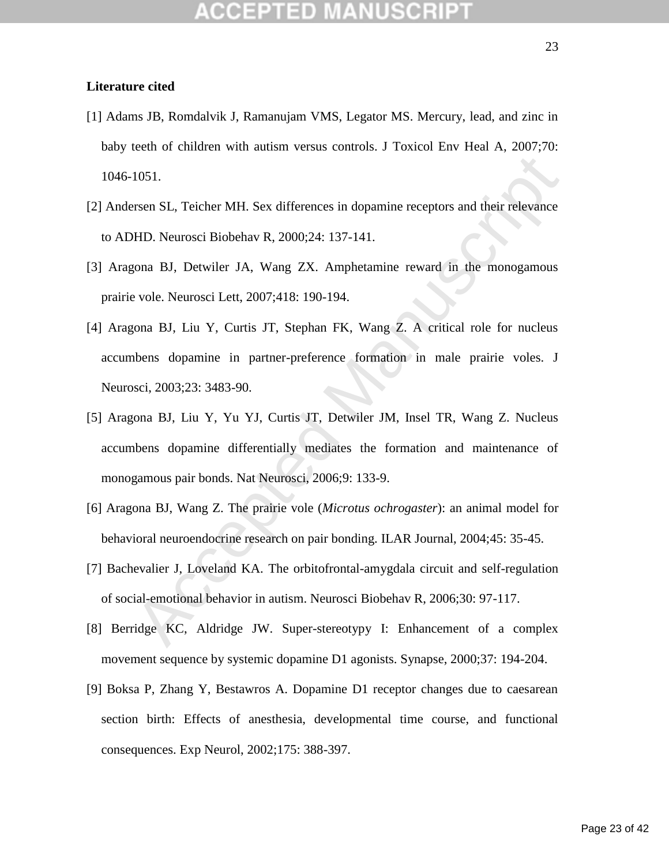- [1] Adams JB, Romdalvik J, Ramanujam VMS, Legator MS. Mercury, lead, and zinc in baby teeth of children with autism versus controls. J Toxicol Env Heal A, 2007;70: 1046-1051.
- [2] Andersen SL, Teicher MH. Sex differences in dopamine receptors and their relevance to ADHD. Neurosci Biobehav R, 2000;24: 137-141.
- [3] Aragona BJ, Detwiler JA, Wang ZX. Amphetamine reward in the monogamous prairie vole. Neurosci Lett, 2007;418: 190-194.
- 1051.<br>
1051.<br>
1061. Teicher MH. Sex differences in dopamine receptors and their relevance<br>
HD. Neurosci Biobehav R, 2000;24: 137-141.<br>
1001 BJ, Detwiler JA. Wang ZX. Amphetamine reward in the monogamous<br>
1001 BJ, Detwiler [4] Aragona BJ, Liu Y, Curtis JT, Stephan FK, Wang Z. A critical role for nucleus accumbens dopamine in partner-preference formation in male prairie voles. J Neurosci, 2003;23: 3483-90.
- [5] Aragona BJ, Liu Y, Yu YJ, Curtis JT, Detwiler JM, Insel TR, Wang Z. Nucleus accumbens dopamine differentially mediates the formation and maintenance of monogamous pair bonds. Nat Neurosci, 2006;9: 133-9.
- [6] Aragona BJ, Wang Z. The prairie vole (*Microtus ochrogaster*): an animal model for behavioral neuroendocrine research on pair bonding. ILAR Journal, 2004;45: 35-45.
- [7] Bachevalier J, Loveland KA. The orbitofrontal-amygdala circuit and self-regulation of social-emotional behavior in autism. Neurosci Biobehav R, 2006;30: 97-117.
- [8] Berridge KC, Aldridge JW. Super-stereotypy I: Enhancement of a complex movement sequence by systemic dopamine D1 agonists. Synapse, 2000;37: 194-204.
- [9] Boksa P, Zhang Y, Bestawros A. Dopamine D1 receptor changes due to caesarean section birth: Effects of anesthesia, developmental time course, and functional consequences. Exp Neurol, 2002;175: 388-397.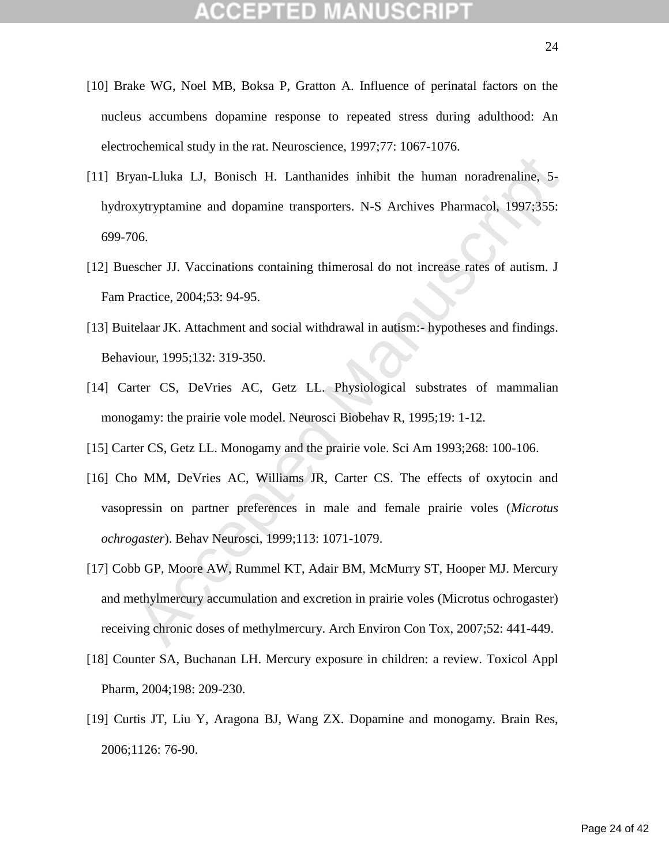- [10] Brake WG, Noel MB, Boksa P, Gratton A. Influence of perinatal factors on the nucleus accumbens dopamine response to repeated stress during adulthood: An electrochemical study in the rat. Neuroscience, 1997;77: 1067-1076.
- [11] Bryan-Lluka LJ, Bonisch H. Lanthanides inhibit the human noradrenaline, 5 hydroxytryptamine and dopamine transporters. N-S Archives Pharmacol, 1997;355: 699-706.
- [12] Buescher JJ. Vaccinations containing thimerosal do not increase rates of autism. J Fam Practice, 2004;53: 94-95.
- [13] Buitelaar JK. Attachment and social withdrawal in autism:- hypotheses and findings. Behaviour, 1995;132: 319-350.
- [14] Carter CS, DeVries AC, Getz LL. Physiological substrates of mammalian monogamy: the prairie vole model. Neurosci Biobehav R, 1995;19: 1-12.
- [15] Carter CS, Getz LL. Monogamy and the prairie vole. Sci Am 1993;268: 100-106.
- [16] Cho MM, DeVries AC, Williams JR, Carter CS. The effects of oxytocin and vasopressin on partner preferences in male and female prairie voles (*Microtus ochrogaster*). Behav Neurosci, 1999;113: 1071-1079.
- yan-Lluka LJ, Bonisch H. Lanthanides inhibit the human noradrenaline, 5-<br>sytryptamine and dopamine transporters. N-S Archives Pharmacol, 1997;355:<br>06.<br>scher JJ. Vaccinations containing thimerosal do not increase rates of a [17] Cobb GP, Moore AW, Rummel KT, Adair BM, McMurry ST, Hooper MJ. Mercury and methylmercury accumulation and excretion in prairie voles (Microtus ochrogaster) receiving chronic doses of methylmercury. Arch Environ Con Tox, 2007;52: 441-449.
- [18] Counter SA, Buchanan LH. Mercury exposure in children: a review. Toxicol Appl Pharm, 2004;198: 209-230.
- [19] Curtis JT, Liu Y, Aragona BJ, Wang ZX. Dopamine and monogamy. Brain Res, 2006;1126: 76-90.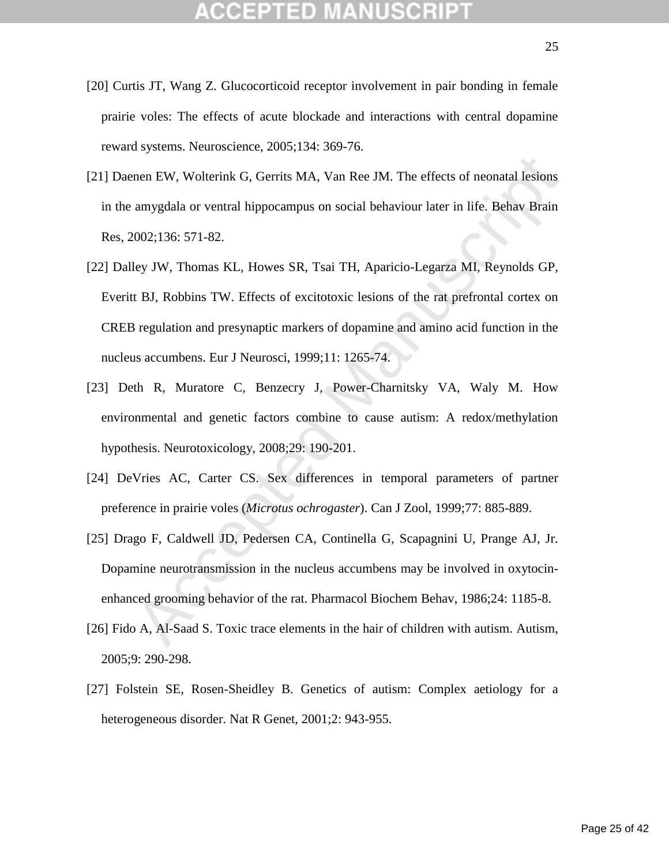- [20] Curtis JT, Wang Z. Glucocorticoid receptor involvement in pair bonding in female prairie voles: The effects of acute blockade and interactions with central dopamine reward systems. Neuroscience, 2005;134: 369-76.
- [21] Daenen EW, Wolterink G, Gerrits MA, Van Ree JM. The effects of neonatal lesions in the amygdala or ventral hippocampus on social behaviour later in life. Behav Brain Res, 2002;136: 571-82.
- men EW, Wolterink G, Gerrits MA, Van Ree JM. The effects of neonatal lesions<br>amygdala or ventral hippocampus on social behaviour later in life. Behav Brain<br>2002;136: 571-82.<br>Ley JW, Thomas KL, Howes SR, Tsai TH, Aparicio-L [22] Dalley JW, Thomas KL, Howes SR, Tsai TH, Aparicio-Legarza MI, Reynolds GP, Everitt BJ, Robbins TW. Effects of excitotoxic lesions of the rat prefrontal cortex on CREB regulation and presynaptic markers of dopamine and amino acid function in the nucleus accumbens. Eur J Neurosci, 1999;11: 1265-74.
- [23] Deth R, Muratore C, Benzecry J, Power-Charnitsky VA, Waly M. How environmental and genetic factors combine to cause autism: A redox/methylation hypothesis. Neurotoxicology, 2008;29: 190-201.
- [24] DeVries AC, Carter CS. Sex differences in temporal parameters of partner preference in prairie voles (*Microtus ochrogaster*). Can J Zool, 1999;77: 885-889.
- [25] Drago F, Caldwell JD, Pedersen CA, Continella G, Scapagnini U, Prange AJ, Jr. Dopamine neurotransmission in the nucleus accumbens may be involved in oxytocinenhanced grooming behavior of the rat. Pharmacol Biochem Behav, 1986;24: 1185-8.
- [26] Fido A, Al-Saad S. Toxic trace elements in the hair of children with autism. Autism, 2005;9: 290-298.
- [27] Folstein SE, Rosen-Sheidley B. Genetics of autism: Complex aetiology for a heterogeneous disorder. Nat R Genet, 2001;2: 943-955.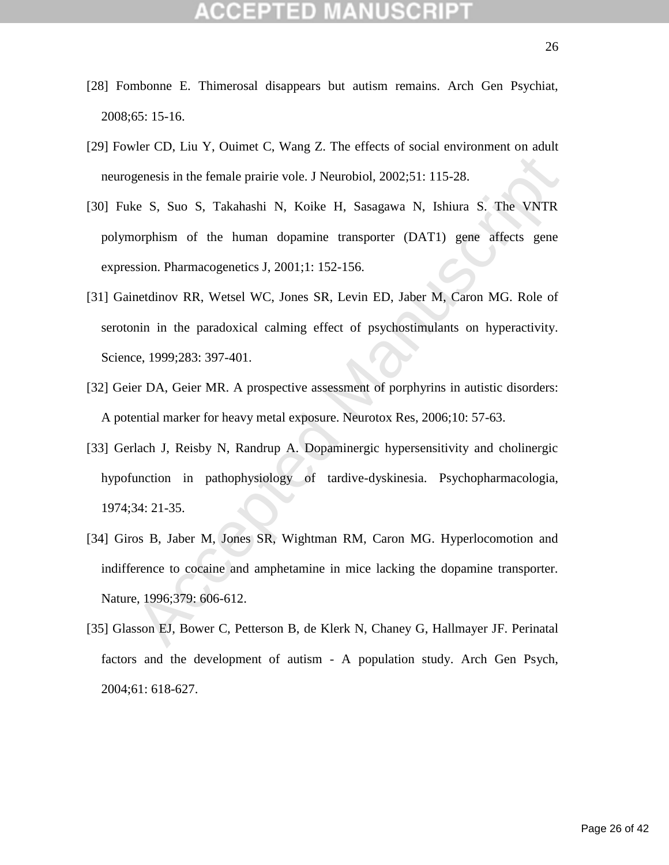- [28] Fombonne E. Thimerosal disappears but autism remains. Arch Gen Psychiat, 2008;65: 15-16.
- [29] Fowler CD, Liu Y, Ouimet C, Wang Z. The effects of social environment on adult neurogenesis in the female prairie vole. J Neurobiol, 2002;51: 115-28.
- [30] Fuke S, Suo S, Takahashi N, Koike H, Sasagawa N, Ishiura S. The VNTR polymorphism of the human dopamine transporter (DAT1) gene affects gene expression. Pharmacogenetics J, 2001;1: 152-156.
- [31] Gainetdinov RR, Wetsel WC, Jones SR, Levin ED, Jaber M, Caron MG. Role of serotonin in the paradoxical calming effect of psychostimulants on hyperactivity. Science, 1999;283: 397-401.
- [32] Geier DA, Geier MR. A prospective assessment of porphyrins in autistic disorders: A potential marker for heavy metal exposure. Neurotox Res, 2006;10: 57-63.
- [33] Gerlach J, Reisby N, Randrup A. Dopaminergic hypersensitivity and cholinergic hypofunction in pathophysiology of tardive-dyskinesia. Psychopharmacologia, 1974;34: 21-35.
- genesis in the female prairie vole. J Neurobiol, 2002;51: 115-28.<br>
Ke S, Suo S, Takahashi N, Koike H, Sasagawa N, Ishiura S. The VNTR<br>
oorphism of the human dopamine transporter (DAT1) gene affects gene<br>
ssion. Pharmacogen [34] Giros B, Jaber M, Jones SR, Wightman RM, Caron MG. Hyperlocomotion and indifference to cocaine and amphetamine in mice lacking the dopamine transporter. Nature, 1996;379: 606-612.
- [35] Glasson EJ, Bower C, Petterson B, de Klerk N, Chaney G, Hallmayer JF. Perinatal factors and the development of autism - A population study. Arch Gen Psych, 2004;61: 618-627.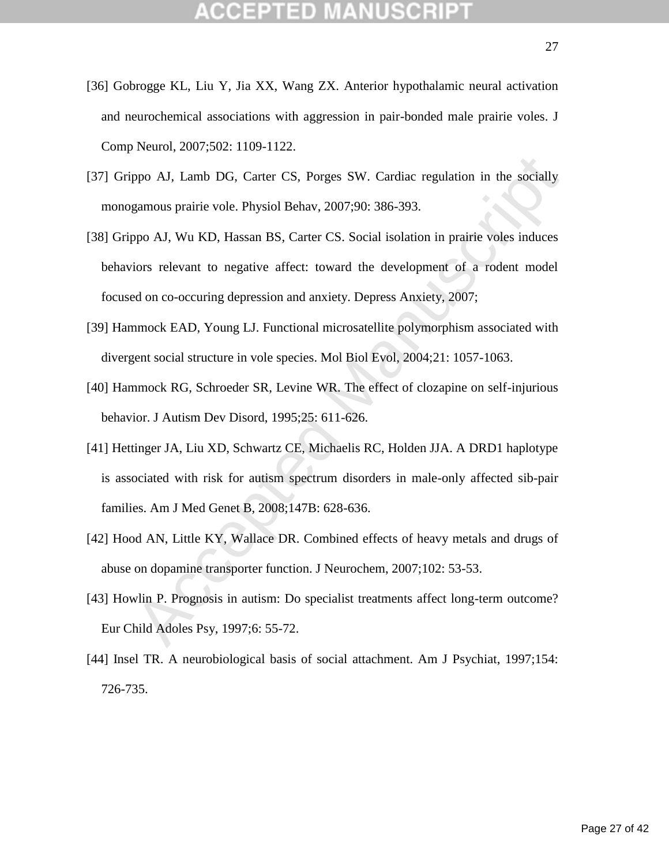- [36] Gobrogge KL, Liu Y, Jia XX, Wang ZX. Anterior hypothalamic neural activation and neurochemical associations with aggression in pair-bonded male prairie voles. J Comp Neurol, 2007;502: 1109-1122.
- [37] Grippo AJ, Lamb DG, Carter CS, Porges SW. Cardiac regulation in the socially monogamous prairie vole. Physiol Behav, 2007;90: 386-393.
- ppo AJ, Lamb DG, Carter CS, Porges SW. Cardiac regulation in the socially gamous prairie vole. Physiol Behav, 2007;90: 386-393.<br>ppo AJ, Wu KD, Hassan BS, Carter CS. Social isolation in prairie voles induces<br>iors relevant t [38] Grippo AJ, Wu KD, Hassan BS, Carter CS. Social isolation in prairie voles induces behaviors relevant to negative affect: toward the development of a rodent model focused on co-occuring depression and anxiety. Depress Anxiety, 2007;
- [39] Hammock EAD, Young LJ. Functional microsatellite polymorphism associated with divergent social structure in vole species. Mol Biol Evol, 2004;21: 1057-1063.
- [40] Hammock RG, Schroeder SR, Levine WR. The effect of clozapine on self-injurious behavior. J Autism Dev Disord, 1995;25: 611-626.
- [41] Hettinger JA, Liu XD, Schwartz CE, Michaelis RC, Holden JJA. A DRD1 haplotype is associated with risk for autism spectrum disorders in male-only affected sib-pair families. Am J Med Genet B, 2008;147B: 628-636.
- [42] Hood AN, Little KY, Wallace DR. Combined effects of heavy metals and drugs of abuse on dopamine transporter function. J Neurochem, 2007;102: 53-53.
- [43] Howlin P. Prognosis in autism: Do specialist treatments affect long-term outcome? Eur Child Adoles Psy, 1997;6: 55-72.
- [44] Insel TR. A neurobiological basis of social attachment. Am J Psychiat, 1997;154: 726-735.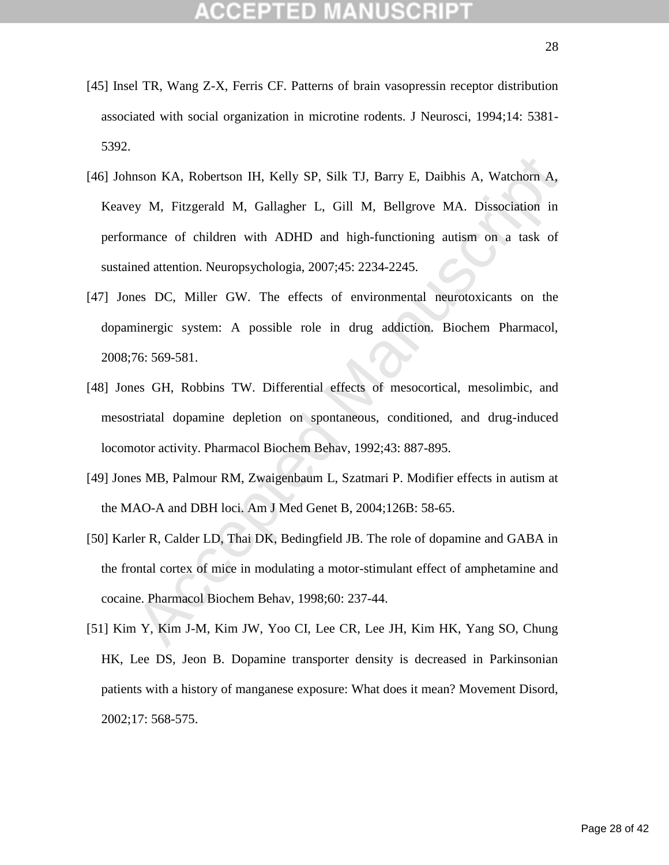- [45] Insel TR, Wang Z-X, Ferris CF. Patterns of brain vasopressin receptor distribution associated with social organization in microtine rodents. J Neurosci, 1994;14: 5381- 5392.
- nson KA, Robertson IH, Kelly SP, Silk TJ, Barry E, Daibhis A, Watchorn A,<br>by M, Fitzgerald M, Gallagher L, Gill M, Bellgrove MA. Dissociation in<br>mance of children with ADHD and high-functioning autism on a task of<br>ned atte [46] Johnson KA, Robertson IH, Kelly SP, Silk TJ, Barry E, Daibhis A, Watchorn A, Keavey M, Fitzgerald M, Gallagher L, Gill M, Bellgrove MA. Dissociation in performance of children with ADHD and high-functioning autism on a task of sustained attention. Neuropsychologia, 2007;45: 2234-2245.
- [47] Jones DC, Miller GW. The effects of environmental neurotoxicants on the dopaminergic system: A possible role in drug addiction. Biochem Pharmacol, 2008;76: 569-581.
- [48] Jones GH, Robbins TW. Differential effects of mesocortical, mesolimbic, and mesostriatal dopamine depletion on spontaneous, conditioned, and drug-induced locomotor activity. Pharmacol Biochem Behav, 1992;43: 887-895.
- [49] Jones MB, Palmour RM, Zwaigenbaum L, Szatmari P. Modifier effects in autism at the MAO-A and DBH loci. Am J Med Genet B, 2004;126B: 58-65.
- [50] Karler R, Calder LD, Thai DK, Bedingfield JB. The role of dopamine and GABA in the frontal cortex of mice in modulating a motor-stimulant effect of amphetamine and cocaine. Pharmacol Biochem Behav, 1998;60: 237-44.
- [51] Kim Y, Kim J-M, Kim JW, Yoo CI, Lee CR, Lee JH, Kim HK, Yang SO, Chung HK, Lee DS, Jeon B. Dopamine transporter density is decreased in Parkinsonian patients with a history of manganese exposure: What does it mean? Movement Disord, 2002;17: 568-575.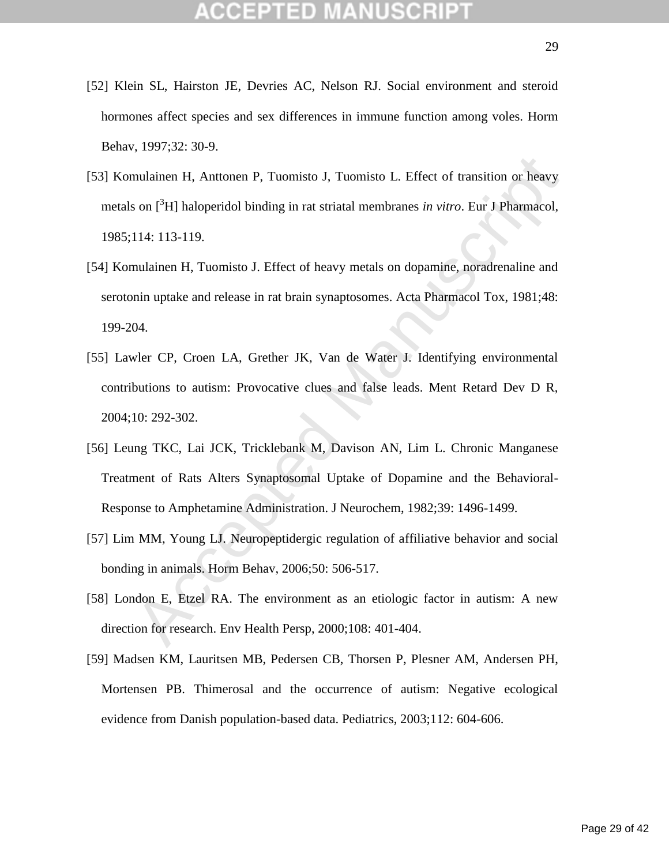- [52] Klein SL, Hairston JE, Devries AC, Nelson RJ. Social environment and steroid hormones affect species and sex differences in immune function among voles. Horm Behav, 1997;32: 30-9.
- [53] Komulainen H, Anttonen P, Tuomisto J, Tuomisto L. Effect of transition or heavy metals on [<sup>3</sup>H] haloperidol binding in rat striatal membranes *in vitro*. Eur J Pharmacol, 1985;114: 113-119.
- [54] Komulainen H, Tuomisto J. Effect of heavy metals on dopamine, noradrenaline and serotonin uptake and release in rat brain synaptosomes. Acta Pharmacol Tox, 1981;48: 199-204.
- nulainen H, Anttonen P, Tuomisto J, Tuomisto L. Effect of transition or heavy<br>son  $[^3H]$  haloperidol binding in rat striatal membranes *in vitro*. Eur J Pharmacol,<br>114: 113-119.<br>nulainen H, Tuomisto J. Effect of heavy meta [55] Lawler CP, Croen LA, Grether JK, Van de Water J. Identifying environmental contributions to autism: Provocative clues and false leads. Ment Retard Dev D R, 2004;10: 292-302.
- [56] Leung TKC, Lai JCK, Tricklebank M, Davison AN, Lim L. Chronic Manganese Treatment of Rats Alters Synaptosomal Uptake of Dopamine and the Behavioral-Response to Amphetamine Administration. J Neurochem, 1982;39: 1496-1499.
- [57] Lim MM, Young LJ. Neuropeptidergic regulation of affiliative behavior and social bonding in animals. Horm Behav, 2006;50: 506-517.
- [58] London E, Etzel RA. The environment as an etiologic factor in autism: A new direction for research. Env Health Persp, 2000;108: 401-404.
- [59] Madsen KM, Lauritsen MB, Pedersen CB, Thorsen P, Plesner AM, Andersen PH, Mortensen PB. Thimerosal and the occurrence of autism: Negative ecological evidence from Danish population-based data. Pediatrics, 2003;112: 604-606.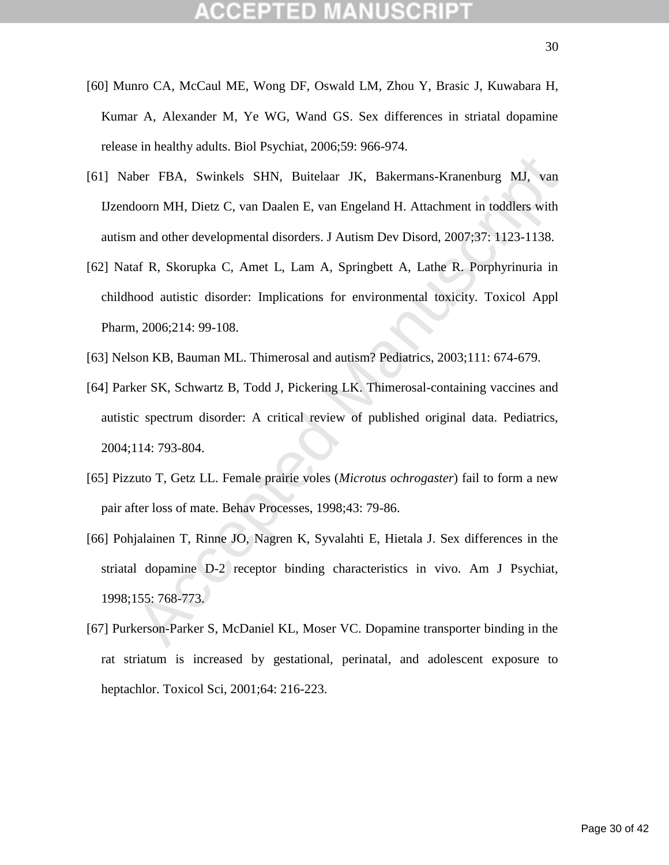- [60] Munro CA, McCaul ME, Wong DF, Oswald LM, Zhou Y, Brasic J, Kuwabara H, Kumar A, Alexander M, Ye WG, Wand GS. Sex differences in striatal dopamine release in healthy adults. Biol Psychiat, 2006;59: 966-974.
- [61] Naber FBA, Swinkels SHN, Buitelaar JK, Bakermans-Kranenburg MJ, van IJzendoorn MH, Dietz C, van Daalen E, van Engeland H. Attachment in toddlers with autism and other developmental disorders. J Autism Dev Disord, 2007;37: 1123-1138.
- [62] Nataf R, Skorupka C, Amet L, Lam A, Springbett A, Lathe R. Porphyrinuria in childhood autistic disorder: Implications for environmental toxicity. Toxicol Appl Pharm, 2006;214: 99-108.
- [63] Nelson KB, Bauman ML. Thimerosal and autism? Pediatrics, 2003;111: 674-679.
- ber FBA, Swinkels SHN, Buitelaar JK, Bakermans-Kranenburg MJ, van boorn MH, Dietz C, van Daalen E, van Engeland H. Attachment in toddlers with a nud other developmental disorders. J Autism Dev Disord, 2007;37: 1123-1138.<br>a [64] Parker SK, Schwartz B, Todd J, Pickering LK. Thimerosal-containing vaccines and autistic spectrum disorder: A critical review of published original data. Pediatrics, 2004;114: 793-804.
- [65] Pizzuto T, Getz LL. Female prairie voles (*Microtus ochrogaster*) fail to form a new pair after loss of mate. Behav Processes, 1998;43: 79-86.
- [66] Pohjalainen T, Rinne JO, Nagren K, Syvalahti E, Hietala J. Sex differences in the striatal dopamine D-2 receptor binding characteristics in vivo. Am J Psychiat, 1998;155: 768-773.
- [67] Purkerson-Parker S, McDaniel KL, Moser VC. Dopamine transporter binding in the rat striatum is increased by gestational, perinatal, and adolescent exposure to heptachlor. Toxicol Sci, 2001;64: 216-223.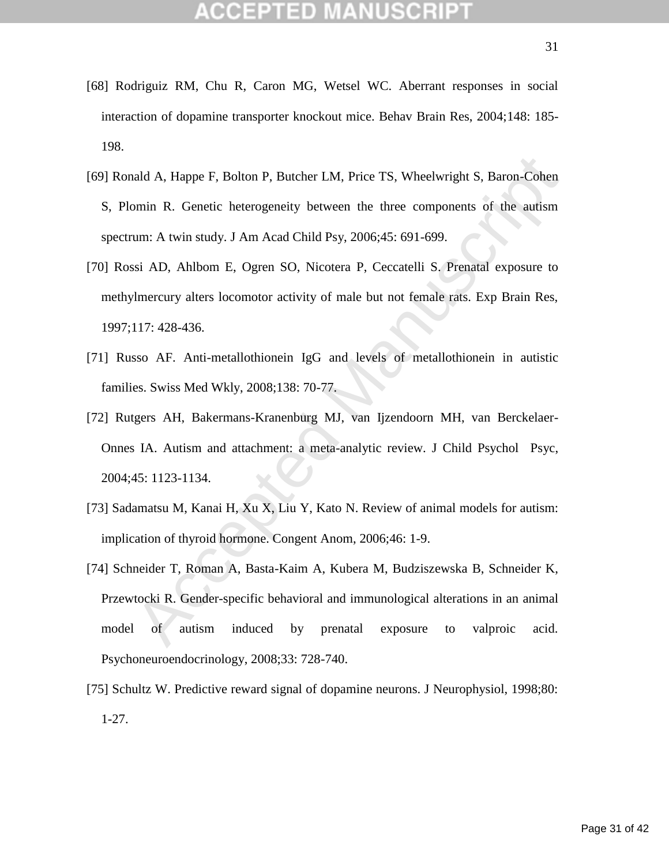- [68] Rodriguiz RM, Chu R, Caron MG, Wetsel WC. Aberrant responses in social interaction of dopamine transporter knockout mice. Behav Brain Res, 2004;148: 185- 198.
- [69] Ronald A, Happe F, Bolton P, Butcher LM, Price TS, Wheelwright S, Baron-Cohen S, Plomin R. Genetic heterogeneity between the three components of the autism spectrum: A twin study. J Am Acad Child Psy, 2006;45: 691-699.
- [70] Rossi AD, Ahlbom E, Ogren SO, Nicotera P, Ceccatelli S. Prenatal exposure to methylmercury alters locomotor activity of male but not female rats. Exp Brain Res, 1997;117: 428-436.
- [71] Russo AF. Anti-metallothionein IgG and levels of metallothionein in autistic families. Swiss Med Wkly, 2008;138: 70-77.
- [72] Rutgers AH, Bakermans-Kranenburg MJ, van Ijzendoorn MH, van Berckelaer-Onnes IA. Autism and attachment: a meta-analytic review. J Child Psychol Psyc, 2004;45: 1123-1134.
- [73] Sadamatsu M, Kanai H, Xu X, Liu Y, Kato N. Review of animal models for autism: implication of thyroid hormone. Congent Anom, 2006;46: 1-9.
- aald A, Happe F, Bolton P, Butcher LM, Price TS, Wheelwright S, Baron-Cohen<br>min R. Genetic heterogeneity between the three components of the autism<br>um: A twin study. J Am Acad Child Psy, 2006;45: 691-699.<br>si AD, Ahlbom E, [74] Schneider T, Roman A, Basta-Kaim A, Kubera M, Budziszewska B, Schneider K, Przewtocki R. Gender-specific behavioral and immunological alterations in an animal model of autism induced by prenatal exposure to valproic acid. Psychoneuroendocrinology, 2008;33: 728-740.
- [75] Schultz W. Predictive reward signal of dopamine neurons. J Neurophysiol, 1998;80: 1-27.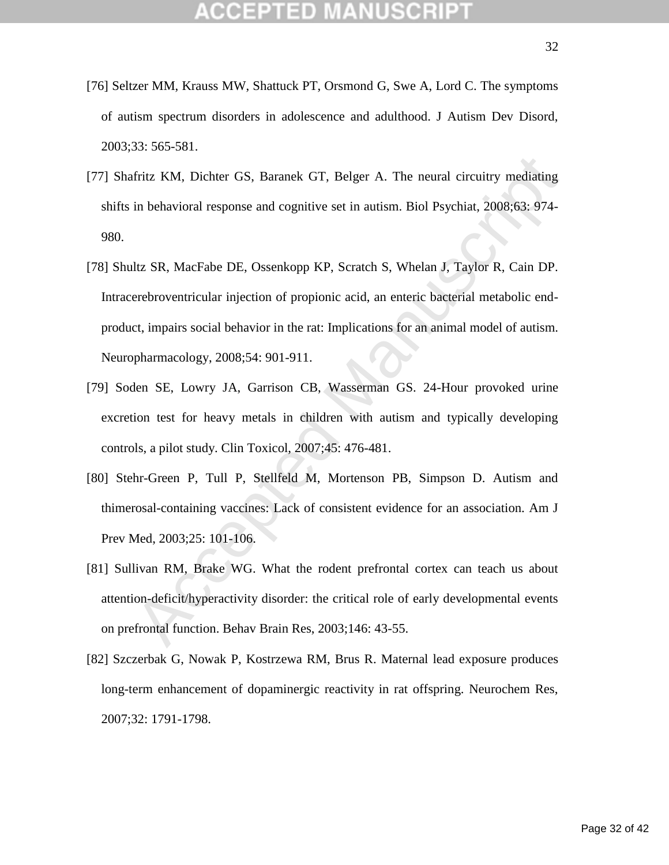- [76] Seltzer MM, Krauss MW, Shattuck PT, Orsmond G, Swe A, Lord C. The symptoms of autism spectrum disorders in adolescence and adulthood. J Autism Dev Disord, 2003;33: 565-581.
- [77] Shafritz KM, Dichter GS, Baranek GT, Belger A. The neural circuitry mediating shifts in behavioral response and cognitive set in autism. Biol Psychiat, 2008;63: 974- 980.
- fritz KM, Dichter GS, Baranek GT, Belger A. The neural circuitry mediating<br>in behavioral response and cognitive set in autism. Biol Psychiat, 2008:63: 974-<br>ltz SR, MacFabe DE, Ossenkopp KP, Scratch S, Whelan J, Taylor R, C [78] Shultz SR, MacFabe DE, Ossenkopp KP, Scratch S, Whelan J, Taylor R, Cain DP. Intracerebroventricular injection of propionic acid, an enteric bacterial metabolic endproduct, impairs social behavior in the rat: Implications for an animal model of autism. Neuropharmacology, 2008;54: 901-911.
- [79] Soden SE, Lowry JA, Garrison CB, Wasserman GS. 24-Hour provoked urine excretion test for heavy metals in children with autism and typically developing controls, a pilot study. Clin Toxicol, 2007;45: 476-481.
- [80] Stehr-Green P, Tull P, Stellfeld M, Mortenson PB, Simpson D. Autism and thimerosal-containing vaccines: Lack of consistent evidence for an association. Am J Prev Med, 2003;25: 101-106.
- [81] Sullivan RM, Brake WG. What the rodent prefrontal cortex can teach us about attention-deficit/hyperactivity disorder: the critical role of early developmental events on prefrontal function. Behav Brain Res, 2003;146: 43-55.
- [82] Szczerbak G, Nowak P, Kostrzewa RM, Brus R. Maternal lead exposure produces long-term enhancement of dopaminergic reactivity in rat offspring. Neurochem Res, 2007;32: 1791-1798.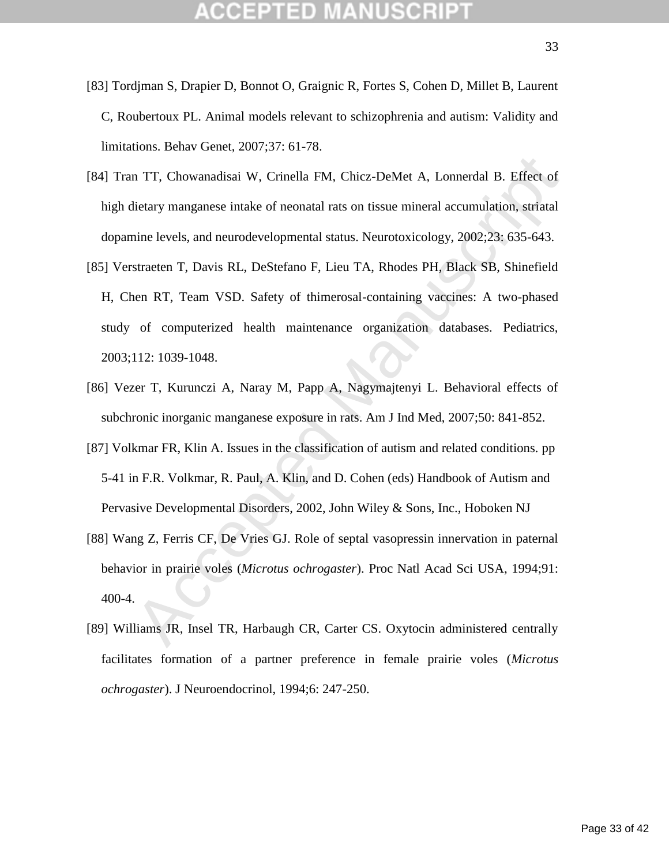- [83] Tordjman S, Drapier D, Bonnot O, Graignic R, Fortes S, Cohen D, Millet B, Laurent C, Roubertoux PL. Animal models relevant to schizophrenia and autism: Validity and limitations. Behav Genet, 2007;37: 61-78.
- [84] Tran TT, Chowanadisai W, Crinella FM, Chicz-DeMet A, Lonnerdal B. Effect of high dietary manganese intake of neonatal rats on tissue mineral accumulation, striatal dopamine levels, and neurodevelopmental status. Neurotoxicology, 2002;23: 635-643.
- n TT, Chowanadisai W, Crinella FM, Chicz-DeMet A, Lonnerdal B. Effect of<br>
fietary manganese intake of neonatal rats on tissue mineral accumulation, striatal<br>
nine levels, and neurodevelopmental status. Neurotoxicology, 200 [85] Verstraeten T, Davis RL, DeStefano F, Lieu TA, Rhodes PH, Black SB, Shinefield H, Chen RT, Team VSD. Safety of thimerosal-containing vaccines: A two-phased study of computerized health maintenance organization databases. Pediatrics, 2003;112: 1039-1048.
- [86] Vezer T, Kurunczi A, Naray M, Papp A, Nagymajtenyi L. Behavioral effects of subchronic inorganic manganese exposure in rats. Am J Ind Med, 2007;50: 841-852.
- [87] Volkmar FR, Klin A. Issues in the classification of autism and related conditions. pp 5-41 in F.R. Volkmar, R. Paul, A. Klin, and D. Cohen (eds) Handbook of Autism and Pervasive Developmental Disorders, 2002, John Wiley & Sons, Inc., Hoboken NJ
- [88] Wang Z, Ferris CF, De Vries GJ. Role of septal vasopressin innervation in paternal behavior in prairie voles (*Microtus ochrogaster*). Proc Natl Acad Sci USA, 1994;91: 400-4.
- [89] Williams JR, Insel TR, Harbaugh CR, Carter CS. Oxytocin administered centrally facilitates formation of a partner preference in female prairie voles (*Microtus ochrogaster*). J Neuroendocrinol, 1994;6: 247-250.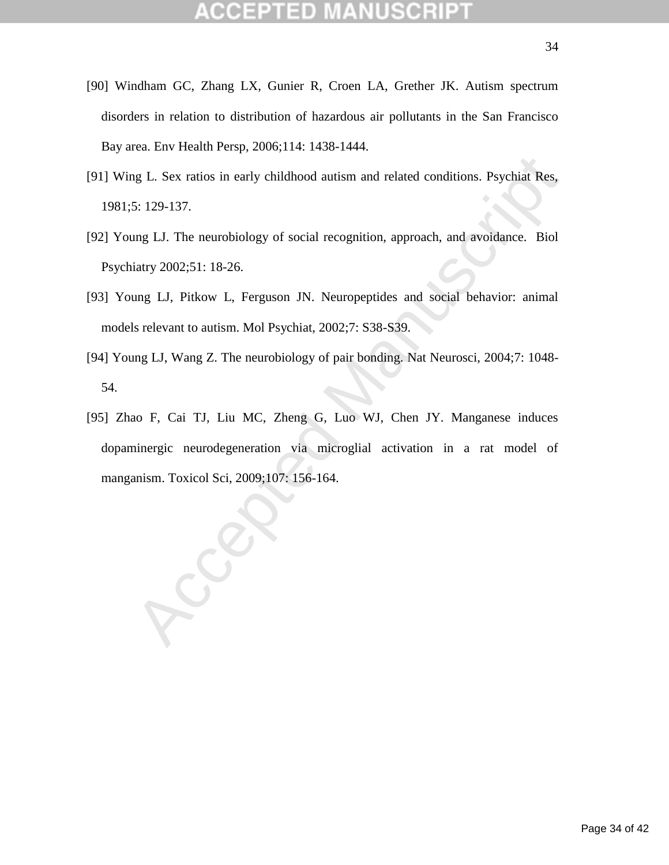- [90] Windham GC, Zhang LX, Gunier R, Croen LA, Grether JK. Autism spectrum disorders in relation to distribution of hazardous air pollutants in the San Francisco Bay area. Env Health Persp, 2006;114: 1438-1444.
- [91] Wing L. Sex ratios in early childhood autism and related conditions. Psychiat Res, 1981;5: 129-137.
- [92] Young LJ. The neurobiology of social recognition, approach, and avoidance. Biol Psychiatry 2002;51: 18-26.
- [93] Young LJ, Pitkow L, Ferguson JN. Neuropeptides and social behavior: animal models relevant to autism. Mol Psychiat, 2002;7: S38-S39.
- [94] Young LJ, Wang Z. The neurobiology of pair bonding. Nat Neurosci, 2004;7: 1048- 54.
- ng L. Sex ratios in early childhood autism and related conditions. Psychiat Res,<br>5: 129-137.<br>mg LJ. The neurobiology of social recognition, approach, and avoidance. Biol<br>iatry 2002;51: 18-26.<br>mg LJ, Pitkow L, Ferguson JN. [95] Zhao F, Cai TJ, Liu MC, Zheng G, Luo WJ, Chen JY. Manganese induces dopaminergic neurodegeneration via microglial activation in a rat model of manganism. Toxicol Sci, 2009;107: 156-164.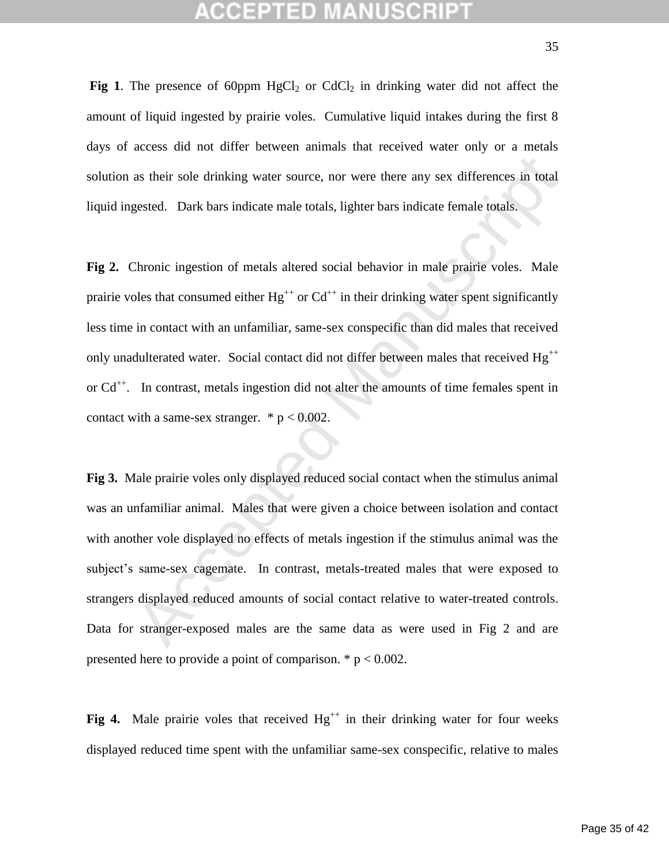**Fig 1**. The presence of 60ppm  $HgCl_2$  or  $CdCl_2$  in drinking water did not affect the amount of liquid ingested by prairie voles. Cumulative liquid intakes during the first 8 days of access did not differ between animals that received water only or a metals solution as their sole drinking water source, nor were there any sex differences in total liquid ingested. Dark bars indicate male totals, lighter bars indicate female totals.

**Fig 2.** Chronic ingestion of metals altered social behavior in male prairie voles. Male prairie voles that consumed either  $Hg^{++}$  or  $Cd^{++}$  in their drinking water spent significantly less time in contact with an unfamiliar, same-sex conspecific than did males that received only unadulterated water. Social contact did not differ between males that received  $Hg^{++}$ or Cd<sup>++</sup>. In contrast, metals ingestion did not alter the amounts of time females spent in contact with a same-sex stranger.  $* p < 0.002$ .

as their sole drinking water source, nor were there any sex differences in total<br>gested. Dark bars indicate male totals, lighter bars indicate female totals.<br>Chronic ingestion of metals altered social behavior in male pra **Fig 3.** Male prairie voles only displayed reduced social contact when the stimulus animal was an unfamiliar animal. Males that were given a choice between isolation and contact with another vole displayed no effects of metals ingestion if the stimulus animal was the subject's same-sex cagemate. In contrast, metals-treated males that were exposed to strangers displayed reduced amounts of social contact relative to water-treated controls. Data for stranger-exposed males are the same data as were used in Fig 2 and are presented here to provide a point of comparison.  $* p < 0.002$ .

Fig 4. Male prairie voles that received  $Hg^{++}$  in their drinking water for four weeks displayed reduced time spent with the unfamiliar same-sex conspecific, relative to males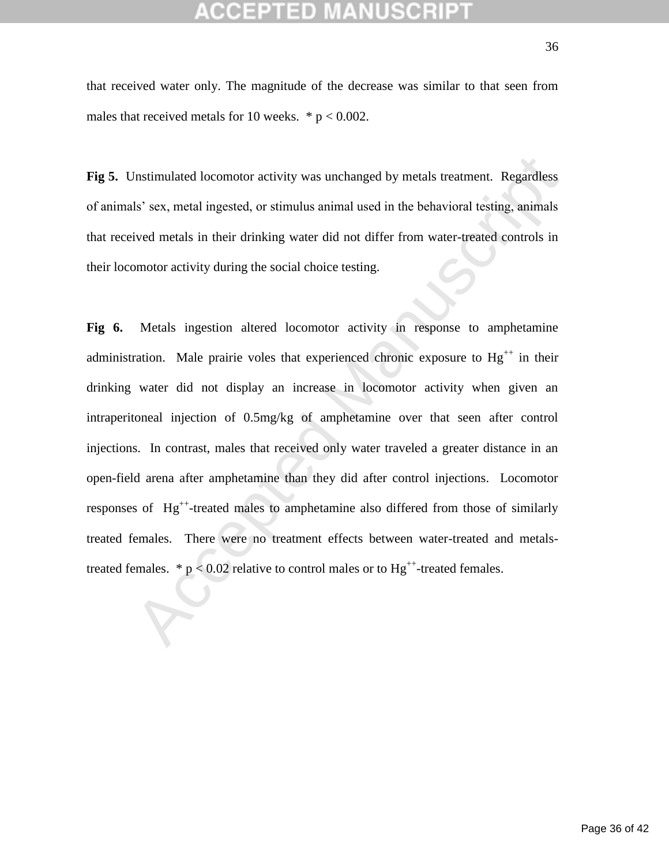Fig 5. Unstimulated locomotor activity was unchanged by metals treatment. Regardless of animals' sex, metal ingested, or stimulus animal used in the behavioral testing, animals that received metals in their drinking water did not differ from water-treated controls in their locomotor activity during the social choice testing.

Jnstimulated locomotor activity was unchanged by metals treatment. Regardless<br>
1s' sex, metal ingested, or stimulus animal used in the behavioral testing, animals<br>
ived metals in their drinking water did not differ from w **Fig 6.** Metals ingestion altered locomotor activity in response to amphetamine administration. Male prairie voles that experienced chronic exposure to  $Hg^{++}$  in their drinking water did not display an increase in locomotor activity when given an intraperitoneal injection of 0.5mg/kg of amphetamine over that seen after control injections. In contrast, males that received only water traveled a greater distance in an open-field arena after amphetamine than they did after control injections. Locomotor responses of Hg<sup>++</sup>-treated males to amphetamine also differed from those of similarly treated females. There were no treatment effects between water-treated and metalstreated females.  $* p < 0.02$  relative to control males or to  $Hg^{++}$ -treated females.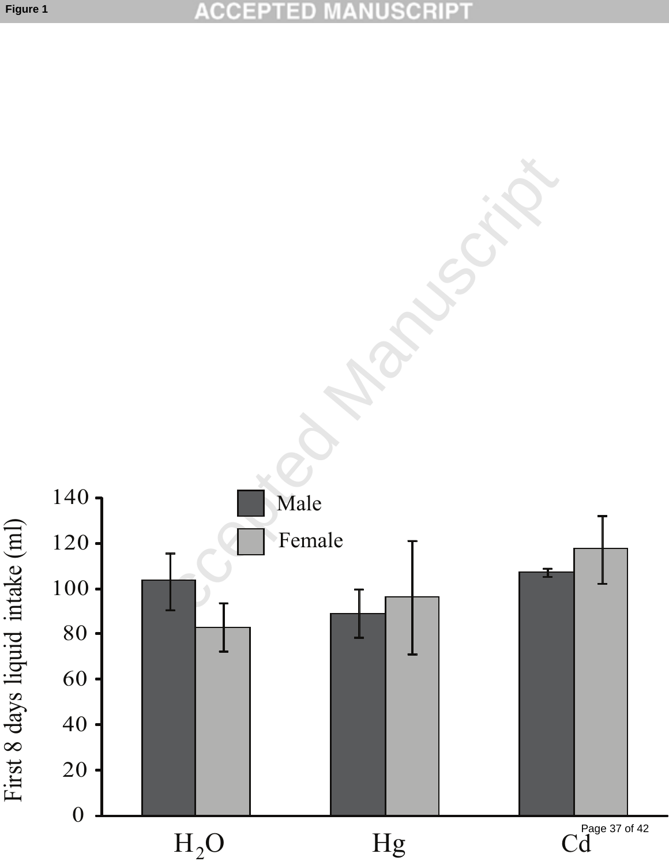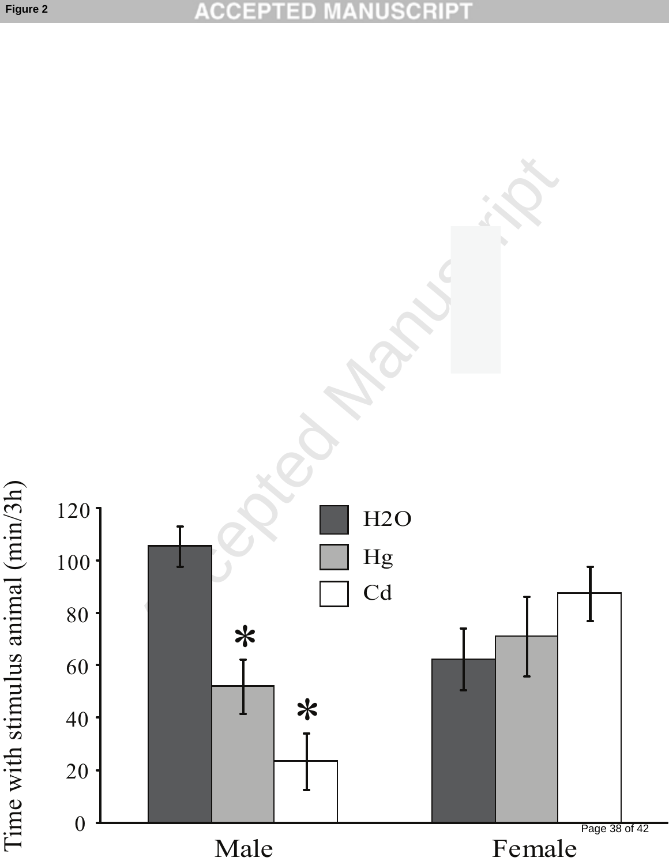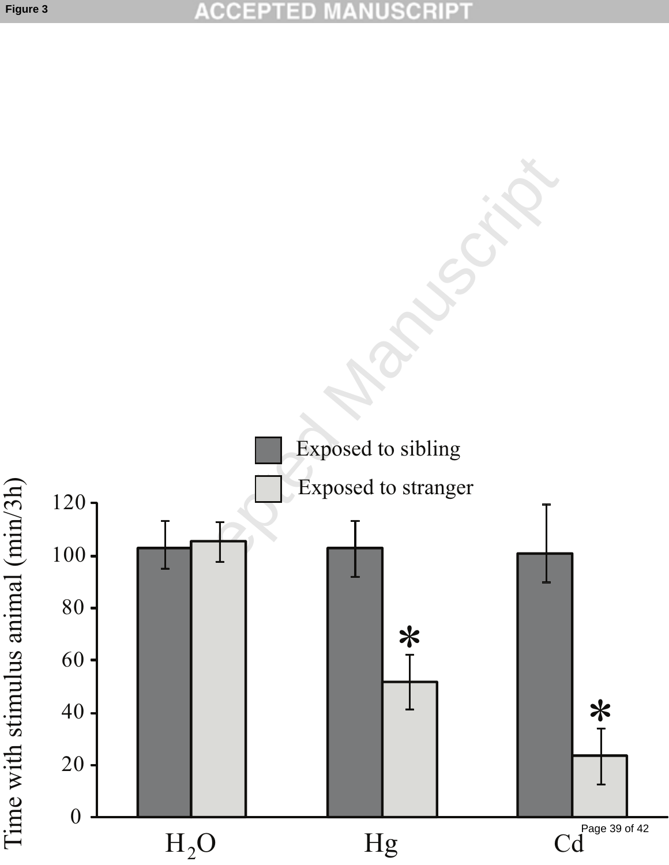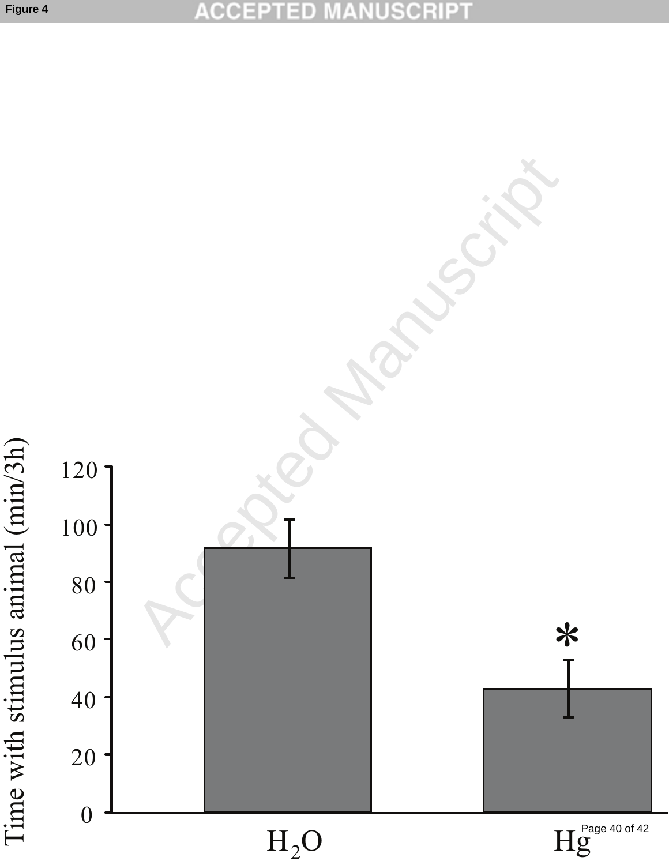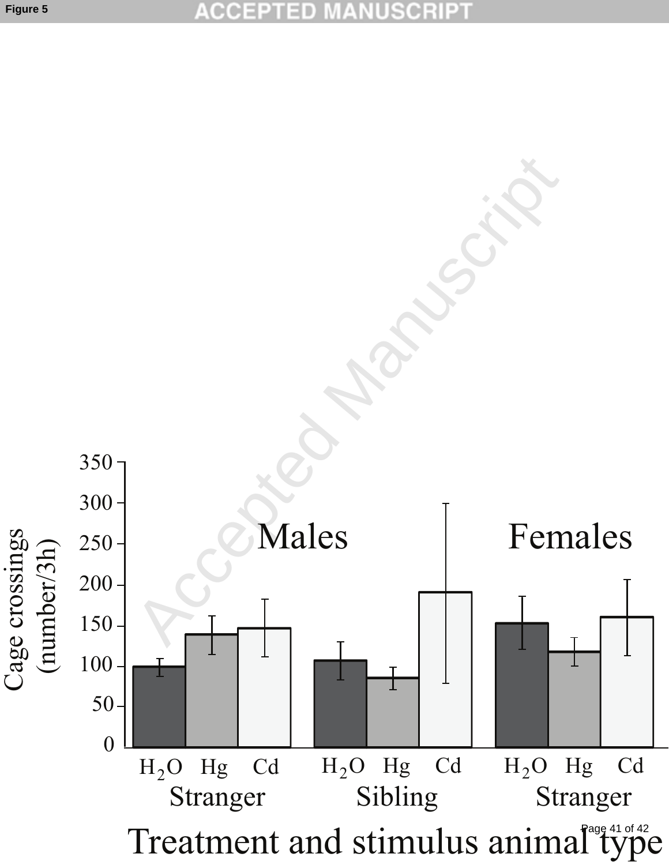